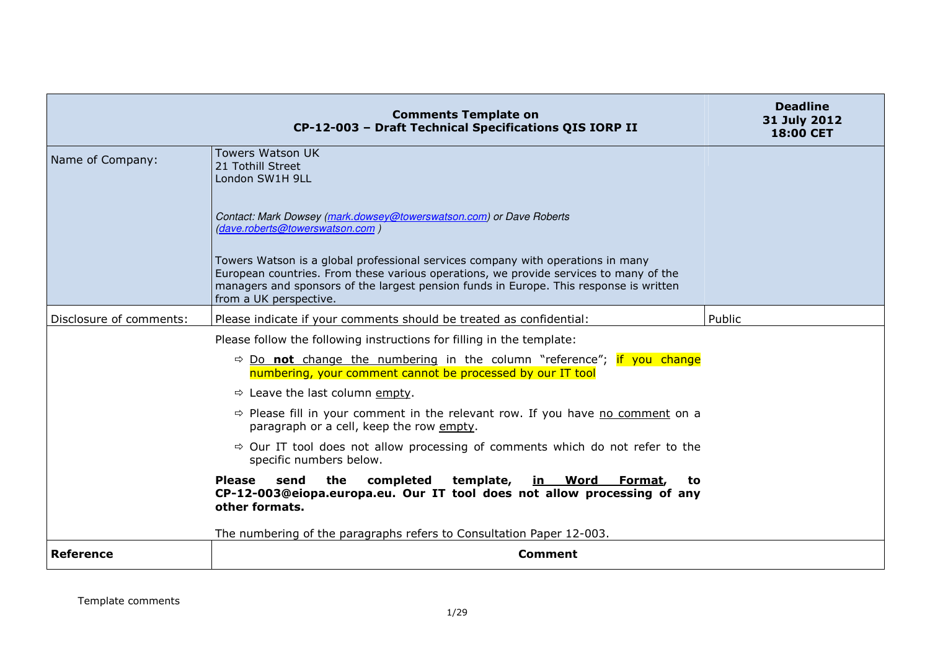|                         | <b>Comments Template on</b><br>CP-12-003 - Draft Technical Specifications QIS IORP II                                                                                                                                                                                                        | <b>Deadline</b><br>31 July 2012<br><b>18:00 CET</b> |
|-------------------------|----------------------------------------------------------------------------------------------------------------------------------------------------------------------------------------------------------------------------------------------------------------------------------------------|-----------------------------------------------------|
| Name of Company:        | <b>Towers Watson UK</b><br>21 Tothill Street<br>London SW1H 9LL                                                                                                                                                                                                                              |                                                     |
|                         | Contact: Mark Dowsey (mark.dowsey@towerswatson.com) or Dave Roberts<br>(dave.roberts@towerswatson.com)                                                                                                                                                                                       |                                                     |
|                         | Towers Watson is a global professional services company with operations in many<br>European countries. From these various operations, we provide services to many of the<br>managers and sponsors of the largest pension funds in Europe. This response is written<br>from a UK perspective. |                                                     |
| Disclosure of comments: | Please indicate if your comments should be treated as confidential:                                                                                                                                                                                                                          | Public                                              |
|                         | Please follow the following instructions for filling in the template:                                                                                                                                                                                                                        |                                                     |
|                         | $\Rightarrow$ Do not change the numbering in the column "reference"; if you change<br>numbering, your comment cannot be processed by our IT tool                                                                                                                                             |                                                     |
|                         | $\Rightarrow$ Leave the last column empty.                                                                                                                                                                                                                                                   |                                                     |
|                         | $\Rightarrow$ Please fill in your comment in the relevant row. If you have no comment on a<br>paragraph or a cell, keep the row empty.                                                                                                                                                       |                                                     |
|                         | $\Rightarrow$ Our IT tool does not allow processing of comments which do not refer to the<br>specific numbers below.                                                                                                                                                                         |                                                     |
|                         | Please<br>the<br>completed<br>template, in Word Format,<br>send<br>to<br>CP-12-003@eiopa.europa.eu. Our IT tool does not allow processing of any<br>other formats.                                                                                                                           |                                                     |
|                         | The numbering of the paragraphs refers to Consultation Paper 12-003.                                                                                                                                                                                                                         |                                                     |
| <b>Reference</b>        | <b>Comment</b>                                                                                                                                                                                                                                                                               |                                                     |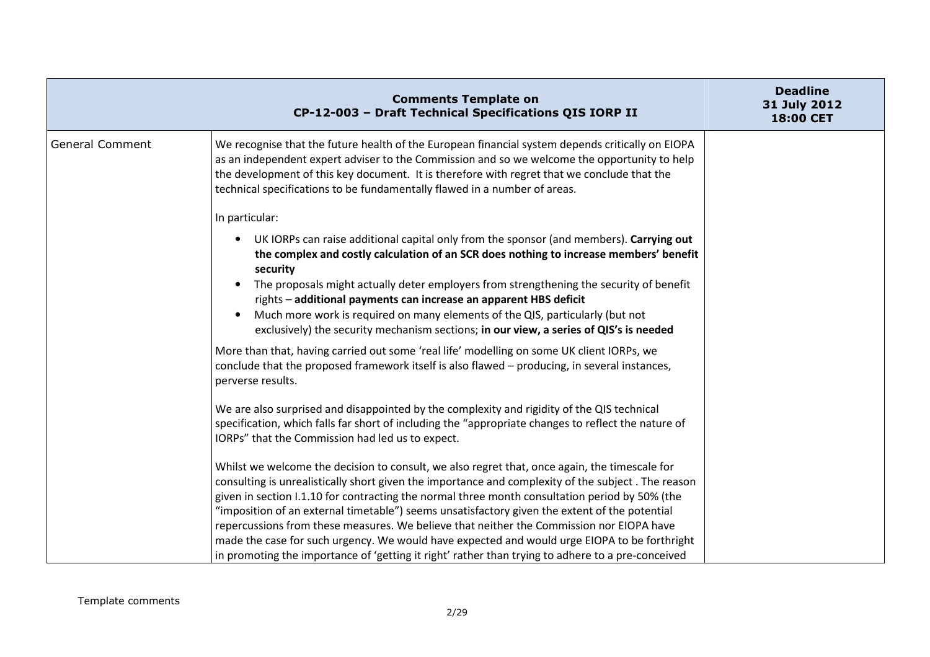|                        | <b>Comments Template on</b><br>CP-12-003 - Draft Technical Specifications QIS IORP II                                                                                                                                                                                                                                                                                        | <b>Deadline</b><br>31 July 2012<br>18:00 CET |
|------------------------|------------------------------------------------------------------------------------------------------------------------------------------------------------------------------------------------------------------------------------------------------------------------------------------------------------------------------------------------------------------------------|----------------------------------------------|
| <b>General Comment</b> | We recognise that the future health of the European financial system depends critically on EIOPA<br>as an independent expert adviser to the Commission and so we welcome the opportunity to help<br>the development of this key document. It is therefore with regret that we conclude that the<br>technical specifications to be fundamentally flawed in a number of areas. |                                              |
|                        | In particular:                                                                                                                                                                                                                                                                                                                                                               |                                              |
|                        | UK IORPs can raise additional capital only from the sponsor (and members). Carrying out<br>the complex and costly calculation of an SCR does nothing to increase members' benefit<br>security                                                                                                                                                                                |                                              |
|                        | The proposals might actually deter employers from strengthening the security of benefit                                                                                                                                                                                                                                                                                      |                                              |
|                        | rights - additional payments can increase an apparent HBS deficit<br>Much more work is required on many elements of the QIS, particularly (but not<br>exclusively) the security mechanism sections; in our view, a series of QIS's is needed                                                                                                                                 |                                              |
|                        | More than that, having carried out some 'real life' modelling on some UK client IORPs, we<br>conclude that the proposed framework itself is also flawed - producing, in several instances,<br>perverse results.                                                                                                                                                              |                                              |
|                        | We are also surprised and disappointed by the complexity and rigidity of the QIS technical                                                                                                                                                                                                                                                                                   |                                              |
|                        | specification, which falls far short of including the "appropriate changes to reflect the nature of<br>IORPs" that the Commission had led us to expect.                                                                                                                                                                                                                      |                                              |
|                        | Whilst we welcome the decision to consult, we also regret that, once again, the timescale for<br>consulting is unrealistically short given the importance and complexity of the subject. The reason                                                                                                                                                                          |                                              |
|                        | given in section I.1.10 for contracting the normal three month consultation period by 50% (the                                                                                                                                                                                                                                                                               |                                              |
|                        | "imposition of an external timetable") seems unsatisfactory given the extent of the potential                                                                                                                                                                                                                                                                                |                                              |
|                        | repercussions from these measures. We believe that neither the Commission nor EIOPA have<br>made the case for such urgency. We would have expected and would urge EIOPA to be forthright                                                                                                                                                                                     |                                              |
|                        | in promoting the importance of 'getting it right' rather than trying to adhere to a pre-conceived                                                                                                                                                                                                                                                                            |                                              |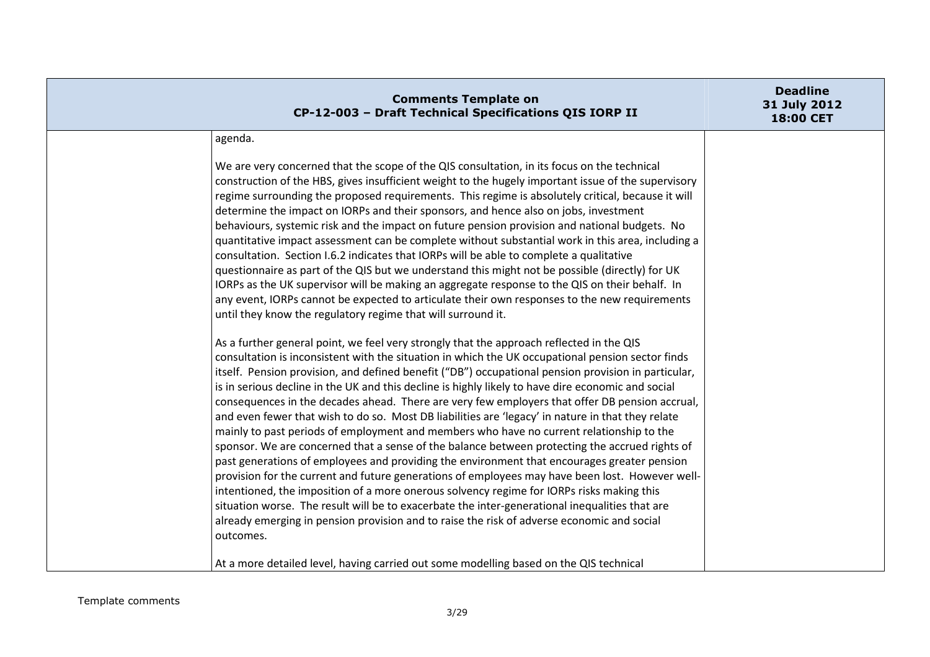| <b>Comments Template on</b><br>CP-12-003 - Draft Technical Specifications QIS IORP II                                                                                                                                                                                                                                                                                                                                                                                                                                                                                                                                                                                                                                                                                                                                                                                                                                                                                                                                                                                                                                                                                                                                                                                                                                                                                                                                 | <b>Deadline</b><br>31 July 2012<br>18:00 CET |
|-----------------------------------------------------------------------------------------------------------------------------------------------------------------------------------------------------------------------------------------------------------------------------------------------------------------------------------------------------------------------------------------------------------------------------------------------------------------------------------------------------------------------------------------------------------------------------------------------------------------------------------------------------------------------------------------------------------------------------------------------------------------------------------------------------------------------------------------------------------------------------------------------------------------------------------------------------------------------------------------------------------------------------------------------------------------------------------------------------------------------------------------------------------------------------------------------------------------------------------------------------------------------------------------------------------------------------------------------------------------------------------------------------------------------|----------------------------------------------|
| agenda.                                                                                                                                                                                                                                                                                                                                                                                                                                                                                                                                                                                                                                                                                                                                                                                                                                                                                                                                                                                                                                                                                                                                                                                                                                                                                                                                                                                                               |                                              |
| We are very concerned that the scope of the QIS consultation, in its focus on the technical<br>construction of the HBS, gives insufficient weight to the hugely important issue of the supervisory<br>regime surrounding the proposed requirements. This regime is absolutely critical, because it will<br>determine the impact on IORPs and their sponsors, and hence also on jobs, investment<br>behaviours, systemic risk and the impact on future pension provision and national budgets. No<br>quantitative impact assessment can be complete without substantial work in this area, including a<br>consultation. Section I.6.2 indicates that IORPs will be able to complete a qualitative<br>questionnaire as part of the QIS but we understand this might not be possible (directly) for UK<br>IORPs as the UK supervisor will be making an aggregate response to the QIS on their behalf. In<br>any event, IORPs cannot be expected to articulate their own responses to the new requirements<br>until they know the regulatory regime that will surround it.                                                                                                                                                                                                                                                                                                                                                |                                              |
| As a further general point, we feel very strongly that the approach reflected in the QIS<br>consultation is inconsistent with the situation in which the UK occupational pension sector finds<br>itself. Pension provision, and defined benefit ("DB") occupational pension provision in particular,<br>is in serious decline in the UK and this decline is highly likely to have dire economic and social<br>consequences in the decades ahead. There are very few employers that offer DB pension accrual,<br>and even fewer that wish to do so. Most DB liabilities are 'legacy' in nature in that they relate<br>mainly to past periods of employment and members who have no current relationship to the<br>sponsor. We are concerned that a sense of the balance between protecting the accrued rights of<br>past generations of employees and providing the environment that encourages greater pension<br>provision for the current and future generations of employees may have been lost. However well-<br>intentioned, the imposition of a more onerous solvency regime for IORPs risks making this<br>situation worse. The result will be to exacerbate the inter-generational inequalities that are<br>already emerging in pension provision and to raise the risk of adverse economic and social<br>outcomes.<br>At a more detailed level, having carried out some modelling based on the QIS technical |                                              |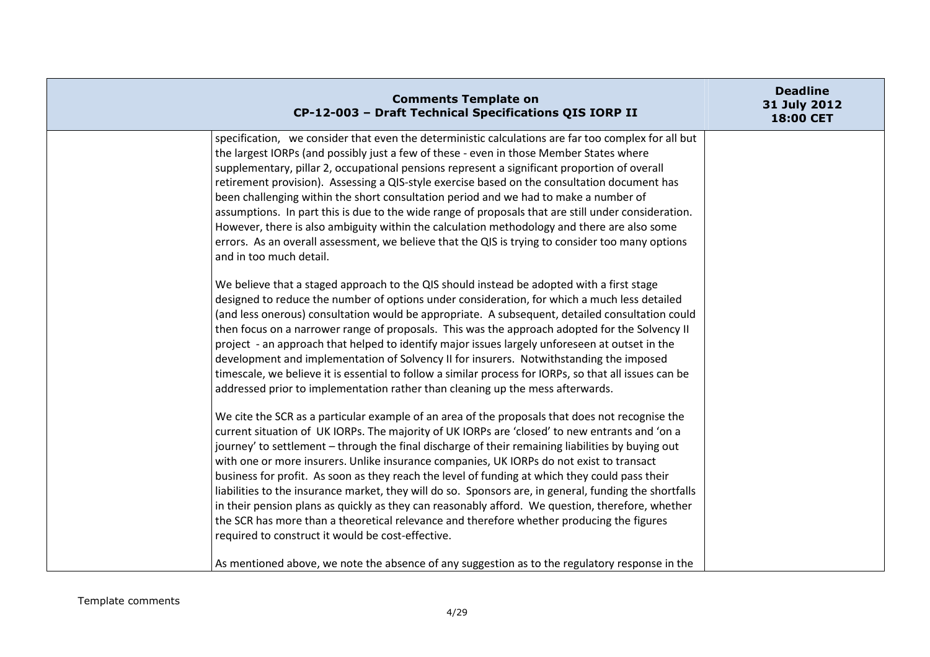| <b>Comments Template on</b><br>CP-12-003 - Draft Technical Specifications QIS IORP II                                                                                                                                                                                                                                                                                                                                                                                                                                                                                                                                                                                                                                                                                                                                                                                | <b>Deadline</b><br>31 July 2012<br>18:00 CET |
|----------------------------------------------------------------------------------------------------------------------------------------------------------------------------------------------------------------------------------------------------------------------------------------------------------------------------------------------------------------------------------------------------------------------------------------------------------------------------------------------------------------------------------------------------------------------------------------------------------------------------------------------------------------------------------------------------------------------------------------------------------------------------------------------------------------------------------------------------------------------|----------------------------------------------|
| specification, we consider that even the deterministic calculations are far too complex for all but<br>the largest IORPs (and possibly just a few of these - even in those Member States where<br>supplementary, pillar 2, occupational pensions represent a significant proportion of overall<br>retirement provision). Assessing a QIS-style exercise based on the consultation document has<br>been challenging within the short consultation period and we had to make a number of<br>assumptions. In part this is due to the wide range of proposals that are still under consideration.<br>However, there is also ambiguity within the calculation methodology and there are also some<br>errors. As an overall assessment, we believe that the QIS is trying to consider too many options<br>and in too much detail.                                          |                                              |
| We believe that a staged approach to the QIS should instead be adopted with a first stage<br>designed to reduce the number of options under consideration, for which a much less detailed<br>(and less onerous) consultation would be appropriate. A subsequent, detailed consultation could<br>then focus on a narrower range of proposals. This was the approach adopted for the Solvency II<br>project - an approach that helped to identify major issues largely unforeseen at outset in the<br>development and implementation of Solvency II for insurers. Notwithstanding the imposed<br>timescale, we believe it is essential to follow a similar process for IORPs, so that all issues can be<br>addressed prior to implementation rather than cleaning up the mess afterwards.                                                                              |                                              |
| We cite the SCR as a particular example of an area of the proposals that does not recognise the<br>current situation of UK IORPs. The majority of UK IORPs are 'closed' to new entrants and 'on a<br>journey' to settlement - through the final discharge of their remaining liabilities by buying out<br>with one or more insurers. Unlike insurance companies, UK IORPs do not exist to transact<br>business for profit. As soon as they reach the level of funding at which they could pass their<br>liabilities to the insurance market, they will do so. Sponsors are, in general, funding the shortfalls<br>in their pension plans as quickly as they can reasonably afford. We question, therefore, whether<br>the SCR has more than a theoretical relevance and therefore whether producing the figures<br>required to construct it would be cost-effective. |                                              |
| As mentioned above, we note the absence of any suggestion as to the regulatory response in the                                                                                                                                                                                                                                                                                                                                                                                                                                                                                                                                                                                                                                                                                                                                                                       |                                              |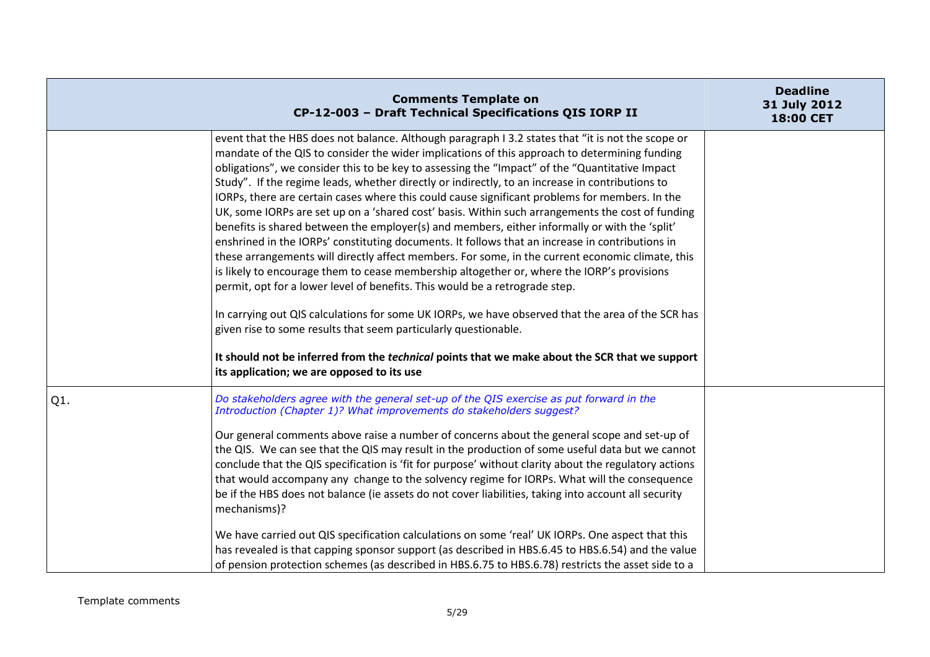|     | <b>Comments Template on</b><br>CP-12-003 - Draft Technical Specifications QIS IORP II                                                                                                                                                                                                                                                                                                                                                                                                                                                                                                                                                                                                                                                                                                                                                                                                                                                                                                                                                                                                                                                                                                                                                                                                                                                                                                                                             | <b>Deadline</b><br>31 July 2012<br>18:00 CET |
|-----|-----------------------------------------------------------------------------------------------------------------------------------------------------------------------------------------------------------------------------------------------------------------------------------------------------------------------------------------------------------------------------------------------------------------------------------------------------------------------------------------------------------------------------------------------------------------------------------------------------------------------------------------------------------------------------------------------------------------------------------------------------------------------------------------------------------------------------------------------------------------------------------------------------------------------------------------------------------------------------------------------------------------------------------------------------------------------------------------------------------------------------------------------------------------------------------------------------------------------------------------------------------------------------------------------------------------------------------------------------------------------------------------------------------------------------------|----------------------------------------------|
|     | event that the HBS does not balance. Although paragraph I 3.2 states that "it is not the scope or<br>mandate of the QIS to consider the wider implications of this approach to determining funding<br>obligations", we consider this to be key to assessing the "Impact" of the "Quantitative Impact<br>Study". If the regime leads, whether directly or indirectly, to an increase in contributions to<br>IORPs, there are certain cases where this could cause significant problems for members. In the<br>UK, some IORPs are set up on a 'shared cost' basis. Within such arrangements the cost of funding<br>benefits is shared between the employer(s) and members, either informally or with the 'split'<br>enshrined in the IORPs' constituting documents. It follows that an increase in contributions in<br>these arrangements will directly affect members. For some, in the current economic climate, this<br>is likely to encourage them to cease membership altogether or, where the IORP's provisions<br>permit, opt for a lower level of benefits. This would be a retrograde step.<br>In carrying out QIS calculations for some UK IORPs, we have observed that the area of the SCR has<br>given rise to some results that seem particularly questionable.<br>It should not be inferred from the <i>technical</i> points that we make about the SCR that we support<br>its application; we are opposed to its use |                                              |
| Q1. | Do stakeholders agree with the general set-up of the QIS exercise as put forward in the<br>Introduction (Chapter 1)? What improvements do stakeholders suggest?<br>Our general comments above raise a number of concerns about the general scope and set-up of<br>the QIS. We can see that the QIS may result in the production of some useful data but we cannot<br>conclude that the QIS specification is 'fit for purpose' without clarity about the regulatory actions<br>that would accompany any change to the solvency regime for IORPs. What will the consequence<br>be if the HBS does not balance (ie assets do not cover liabilities, taking into account all security<br>mechanisms)?<br>We have carried out QIS specification calculations on some 'real' UK IORPs. One aspect that this<br>has revealed is that capping sponsor support (as described in HBS.6.45 to HBS.6.54) and the value<br>of pension protection schemes (as described in HBS.6.75 to HBS.6.78) restricts the asset side to a                                                                                                                                                                                                                                                                                                                                                                                                                  |                                              |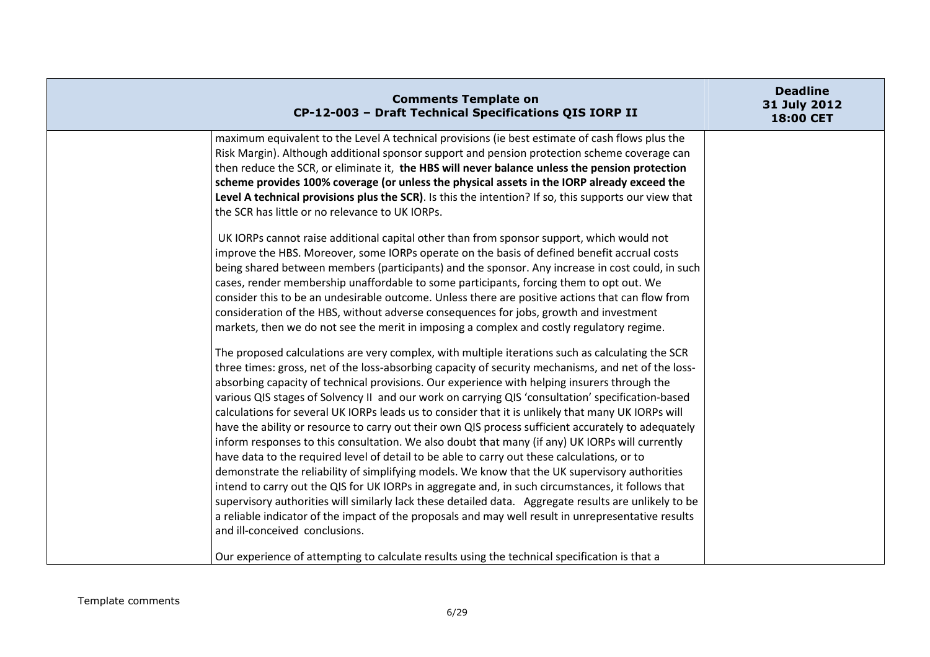| <b>Comments Template on</b><br>CP-12-003 - Draft Technical Specifications QIS IORP II                                                                                                                                                                                                                                                                                                                                                                                                                                                                                                                                                                                                                                                                                                                                                                                                                                                                                                                                                                                                                                                                                                                                                                                                                                                                                                                                                                                                                                                                                                                                                                                                                                                                                                                                                                                                                                                                                                                                                                                                                                                                                                                                                                                                                                                                                                                                                                                                                                                                                                                                                       | <b>Deadline</b><br>31 July 2012<br><b>18:00 CET</b> |
|---------------------------------------------------------------------------------------------------------------------------------------------------------------------------------------------------------------------------------------------------------------------------------------------------------------------------------------------------------------------------------------------------------------------------------------------------------------------------------------------------------------------------------------------------------------------------------------------------------------------------------------------------------------------------------------------------------------------------------------------------------------------------------------------------------------------------------------------------------------------------------------------------------------------------------------------------------------------------------------------------------------------------------------------------------------------------------------------------------------------------------------------------------------------------------------------------------------------------------------------------------------------------------------------------------------------------------------------------------------------------------------------------------------------------------------------------------------------------------------------------------------------------------------------------------------------------------------------------------------------------------------------------------------------------------------------------------------------------------------------------------------------------------------------------------------------------------------------------------------------------------------------------------------------------------------------------------------------------------------------------------------------------------------------------------------------------------------------------------------------------------------------------------------------------------------------------------------------------------------------------------------------------------------------------------------------------------------------------------------------------------------------------------------------------------------------------------------------------------------------------------------------------------------------------------------------------------------------------------------------------------------------|-----------------------------------------------------|
| maximum equivalent to the Level A technical provisions (ie best estimate of cash flows plus the<br>Risk Margin). Although additional sponsor support and pension protection scheme coverage can<br>then reduce the SCR, or eliminate it, the HBS will never balance unless the pension protection<br>scheme provides 100% coverage (or unless the physical assets in the IORP already exceed the<br>Level A technical provisions plus the SCR). Is this the intention? If so, this supports our view that<br>the SCR has little or no relevance to UK IORPs.<br>UK IORPs cannot raise additional capital other than from sponsor support, which would not<br>improve the HBS. Moreover, some IORPs operate on the basis of defined benefit accrual costs<br>being shared between members (participants) and the sponsor. Any increase in cost could, in such<br>cases, render membership unaffordable to some participants, forcing them to opt out. We<br>consider this to be an undesirable outcome. Unless there are positive actions that can flow from<br>consideration of the HBS, without adverse consequences for jobs, growth and investment<br>markets, then we do not see the merit in imposing a complex and costly regulatory regime.<br>The proposed calculations are very complex, with multiple iterations such as calculating the SCR<br>three times: gross, net of the loss-absorbing capacity of security mechanisms, and net of the loss-<br>absorbing capacity of technical provisions. Our experience with helping insurers through the<br>various QIS stages of Solvency II and our work on carrying QIS 'consultation' specification-based<br>calculations for several UK IORPs leads us to consider that it is unlikely that many UK IORPs will<br>have the ability or resource to carry out their own QIS process sufficient accurately to adequately<br>inform responses to this consultation. We also doubt that many (if any) UK IORPs will currently<br>have data to the required level of detail to be able to carry out these calculations, or to<br>demonstrate the reliability of simplifying models. We know that the UK supervisory authorities<br>intend to carry out the QIS for UK IORPs in aggregate and, in such circumstances, it follows that<br>supervisory authorities will similarly lack these detailed data. Aggregate results are unlikely to be<br>a reliable indicator of the impact of the proposals and may well result in unrepresentative results<br>and ill-conceived conclusions.<br>Our experience of attempting to calculate results using the technical specification is that a |                                                     |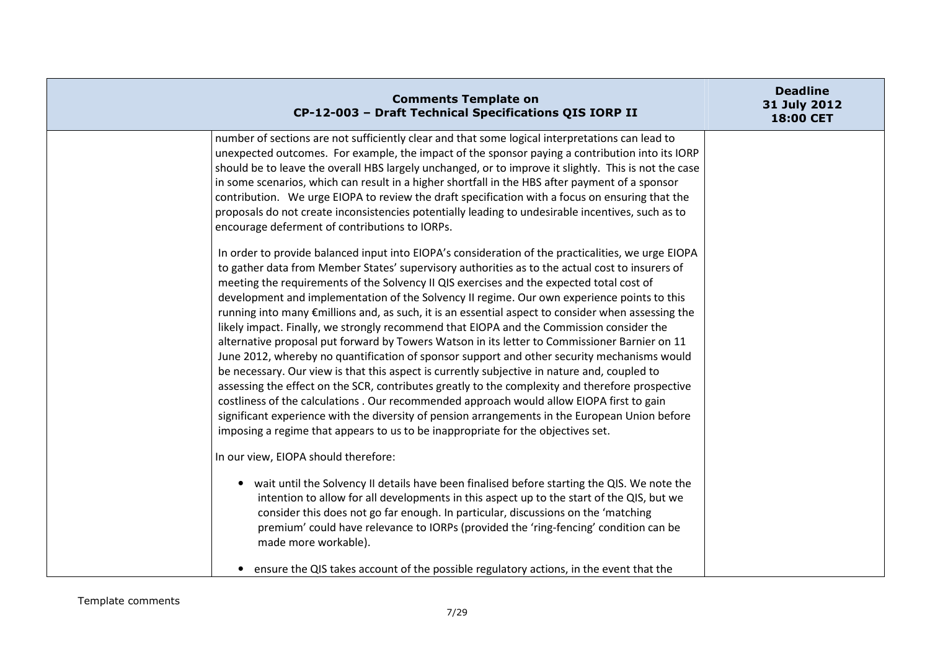| <b>Comments Template on</b><br>CP-12-003 - Draft Technical Specifications QIS IORP II                                                                                                                                                                                                                                                                                                                                                                                                                                                                                                                                                                                                                                                                                                                                                                                                                                                                                                                                                                                                                                                                                                                                                                                                     | <b>Deadline</b><br>31 July 2012<br>18:00 CET |
|-------------------------------------------------------------------------------------------------------------------------------------------------------------------------------------------------------------------------------------------------------------------------------------------------------------------------------------------------------------------------------------------------------------------------------------------------------------------------------------------------------------------------------------------------------------------------------------------------------------------------------------------------------------------------------------------------------------------------------------------------------------------------------------------------------------------------------------------------------------------------------------------------------------------------------------------------------------------------------------------------------------------------------------------------------------------------------------------------------------------------------------------------------------------------------------------------------------------------------------------------------------------------------------------|----------------------------------------------|
| number of sections are not sufficiently clear and that some logical interpretations can lead to<br>unexpected outcomes. For example, the impact of the sponsor paying a contribution into its IORP<br>should be to leave the overall HBS largely unchanged, or to improve it slightly. This is not the case<br>in some scenarios, which can result in a higher shortfall in the HBS after payment of a sponsor<br>contribution. We urge EIOPA to review the draft specification with a focus on ensuring that the<br>proposals do not create inconsistencies potentially leading to undesirable incentives, such as to<br>encourage deferment of contributions to IORPs.                                                                                                                                                                                                                                                                                                                                                                                                                                                                                                                                                                                                                  |                                              |
| In order to provide balanced input into EIOPA's consideration of the practicalities, we urge EIOPA<br>to gather data from Member States' supervisory authorities as to the actual cost to insurers of<br>meeting the requirements of the Solvency II QIS exercises and the expected total cost of<br>development and implementation of the Solvency II regime. Our own experience points to this<br>running into many €millions and, as such, it is an essential aspect to consider when assessing the<br>likely impact. Finally, we strongly recommend that EIOPA and the Commission consider the<br>alternative proposal put forward by Towers Watson in its letter to Commissioner Barnier on 11<br>June 2012, whereby no quantification of sponsor support and other security mechanisms would<br>be necessary. Our view is that this aspect is currently subjective in nature and, coupled to<br>assessing the effect on the SCR, contributes greatly to the complexity and therefore prospective<br>costliness of the calculations . Our recommended approach would allow EIOPA first to gain<br>significant experience with the diversity of pension arrangements in the European Union before<br>imposing a regime that appears to us to be inappropriate for the objectives set. |                                              |
| In our view, EIOPA should therefore:<br>• wait until the Solvency II details have been finalised before starting the QIS. We note the<br>intention to allow for all developments in this aspect up to the start of the QIS, but we<br>consider this does not go far enough. In particular, discussions on the 'matching<br>premium' could have relevance to IORPs (provided the 'ring-fencing' condition can be<br>made more workable).<br>• ensure the QIS takes account of the possible regulatory actions, in the event that the                                                                                                                                                                                                                                                                                                                                                                                                                                                                                                                                                                                                                                                                                                                                                       |                                              |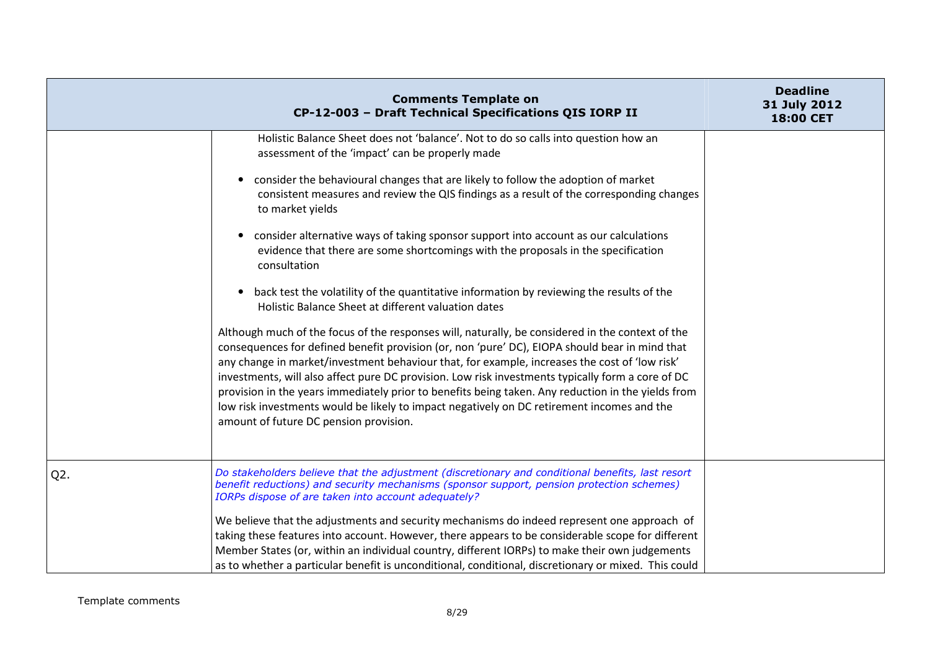|        | <b>Comments Template on</b><br>CP-12-003 - Draft Technical Specifications QIS IORP II                                                                                                                                                                                                                                                                                                                                                                                                                                                                                                                                                                  | <b>Deadline</b><br>31 July 2012<br>18:00 CET |
|--------|--------------------------------------------------------------------------------------------------------------------------------------------------------------------------------------------------------------------------------------------------------------------------------------------------------------------------------------------------------------------------------------------------------------------------------------------------------------------------------------------------------------------------------------------------------------------------------------------------------------------------------------------------------|----------------------------------------------|
|        | Holistic Balance Sheet does not 'balance'. Not to do so calls into question how an<br>assessment of the 'impact' can be properly made                                                                                                                                                                                                                                                                                                                                                                                                                                                                                                                  |                                              |
|        | consider the behavioural changes that are likely to follow the adoption of market<br>$\bullet$<br>consistent measures and review the QIS findings as a result of the corresponding changes<br>to market yields                                                                                                                                                                                                                                                                                                                                                                                                                                         |                                              |
|        | consider alternative ways of taking sponsor support into account as our calculations<br>$\bullet$<br>evidence that there are some shortcomings with the proposals in the specification<br>consultation                                                                                                                                                                                                                                                                                                                                                                                                                                                 |                                              |
|        | back test the volatility of the quantitative information by reviewing the results of the<br>$\bullet$<br>Holistic Balance Sheet at different valuation dates                                                                                                                                                                                                                                                                                                                                                                                                                                                                                           |                                              |
|        | Although much of the focus of the responses will, naturally, be considered in the context of the<br>consequences for defined benefit provision (or, non 'pure' DC), EIOPA should bear in mind that<br>any change in market/investment behaviour that, for example, increases the cost of 'low risk'<br>investments, will also affect pure DC provision. Low risk investments typically form a core of DC<br>provision in the years immediately prior to benefits being taken. Any reduction in the yields from<br>low risk investments would be likely to impact negatively on DC retirement incomes and the<br>amount of future DC pension provision. |                                              |
| $Q2$ . | Do stakeholders believe that the adjustment (discretionary and conditional benefits, last resort<br>benefit reductions) and security mechanisms (sponsor support, pension protection schemes)<br>IORPs dispose of are taken into account adequately?                                                                                                                                                                                                                                                                                                                                                                                                   |                                              |
|        | We believe that the adjustments and security mechanisms do indeed represent one approach of<br>taking these features into account. However, there appears to be considerable scope for different<br>Member States (or, within an individual country, different IORPs) to make their own judgements<br>as to whether a particular benefit is unconditional, conditional, discretionary or mixed. This could                                                                                                                                                                                                                                             |                                              |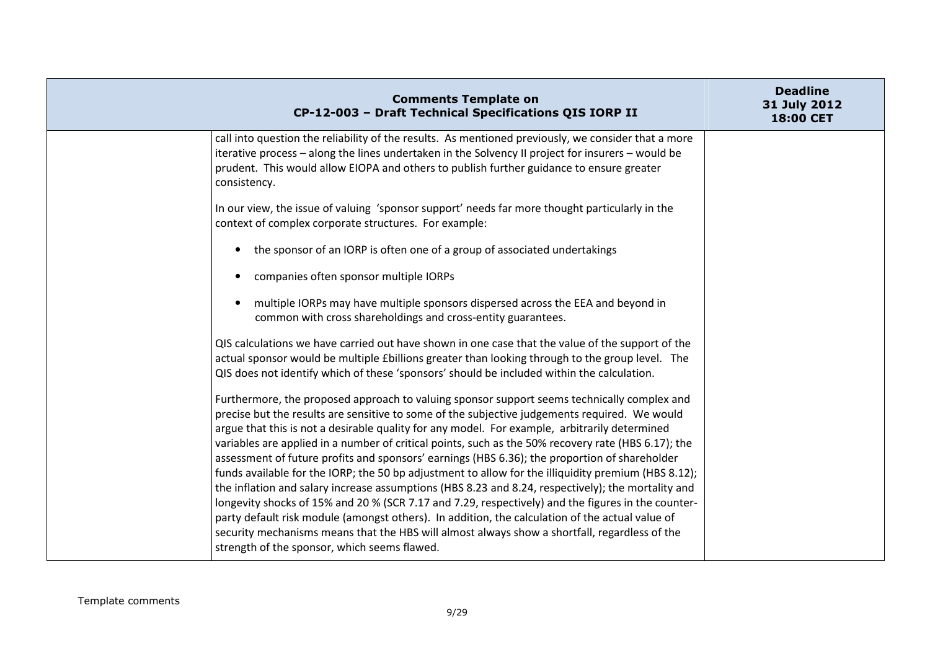| <b>Comments Template on</b><br>CP-12-003 - Draft Technical Specifications QIS IORP II                                                                                                                                                                                                                                                                                                                                                                                                                                                                                                                                                                                                                                                                                                                                                                                                                                                                                                                                                                                        | <b>Deadline</b><br>31 July 2012<br>18:00 CET |
|------------------------------------------------------------------------------------------------------------------------------------------------------------------------------------------------------------------------------------------------------------------------------------------------------------------------------------------------------------------------------------------------------------------------------------------------------------------------------------------------------------------------------------------------------------------------------------------------------------------------------------------------------------------------------------------------------------------------------------------------------------------------------------------------------------------------------------------------------------------------------------------------------------------------------------------------------------------------------------------------------------------------------------------------------------------------------|----------------------------------------------|
| call into question the reliability of the results. As mentioned previously, we consider that a more<br>iterative process - along the lines undertaken in the Solvency II project for insurers - would be<br>prudent. This would allow EIOPA and others to publish further guidance to ensure greater<br>consistency.                                                                                                                                                                                                                                                                                                                                                                                                                                                                                                                                                                                                                                                                                                                                                         |                                              |
| In our view, the issue of valuing 'sponsor support' needs far more thought particularly in the<br>context of complex corporate structures. For example:                                                                                                                                                                                                                                                                                                                                                                                                                                                                                                                                                                                                                                                                                                                                                                                                                                                                                                                      |                                              |
| the sponsor of an IORP is often one of a group of associated undertakings<br>$\bullet$                                                                                                                                                                                                                                                                                                                                                                                                                                                                                                                                                                                                                                                                                                                                                                                                                                                                                                                                                                                       |                                              |
| companies often sponsor multiple IORPs<br>$\bullet$                                                                                                                                                                                                                                                                                                                                                                                                                                                                                                                                                                                                                                                                                                                                                                                                                                                                                                                                                                                                                          |                                              |
| multiple IORPs may have multiple sponsors dispersed across the EEA and beyond in<br>$\bullet$<br>common with cross shareholdings and cross-entity guarantees.                                                                                                                                                                                                                                                                                                                                                                                                                                                                                                                                                                                                                                                                                                                                                                                                                                                                                                                |                                              |
| QIS calculations we have carried out have shown in one case that the value of the support of the<br>actual sponsor would be multiple £billions greater than looking through to the group level. The<br>QIS does not identify which of these 'sponsors' should be included within the calculation.                                                                                                                                                                                                                                                                                                                                                                                                                                                                                                                                                                                                                                                                                                                                                                            |                                              |
| Furthermore, the proposed approach to valuing sponsor support seems technically complex and<br>precise but the results are sensitive to some of the subjective judgements required. We would<br>argue that this is not a desirable quality for any model. For example, arbitrarily determined<br>variables are applied in a number of critical points, such as the 50% recovery rate (HBS 6.17); the<br>assessment of future profits and sponsors' earnings (HBS 6.36); the proportion of shareholder<br>funds available for the IORP; the 50 bp adjustment to allow for the illiquidity premium (HBS 8.12);<br>the inflation and salary increase assumptions (HBS 8.23 and 8.24, respectively); the mortality and<br>longevity shocks of 15% and 20 % (SCR 7.17 and 7.29, respectively) and the figures in the counter-<br>party default risk module (amongst others). In addition, the calculation of the actual value of<br>security mechanisms means that the HBS will almost always show a shortfall, regardless of the<br>strength of the sponsor, which seems flawed. |                                              |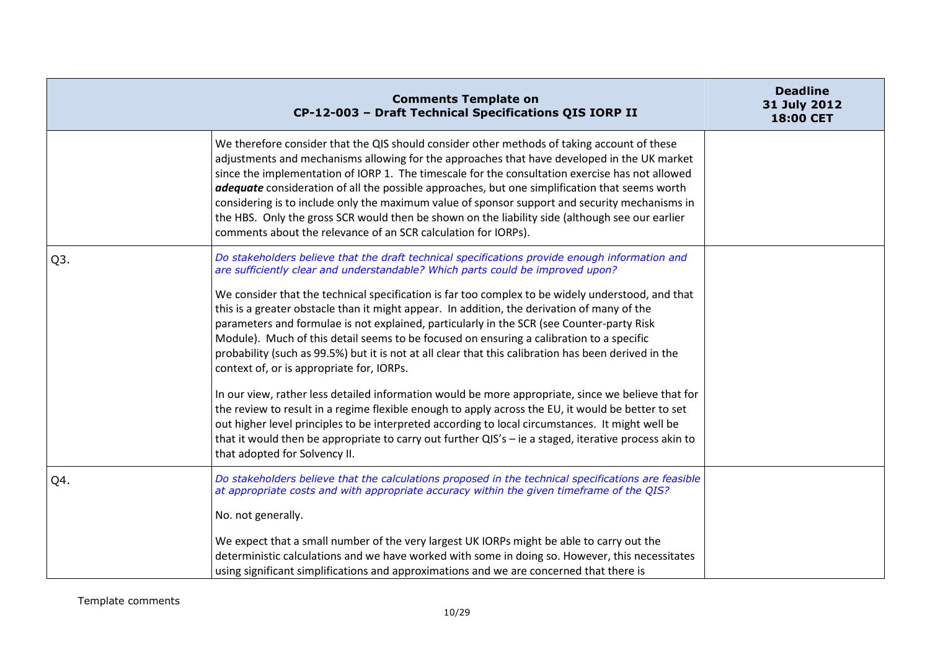|     | <b>Comments Template on</b><br>CP-12-003 - Draft Technical Specifications QIS IORP II                                                                                                                                                                                                                                                                                                                                                                                                                                                                                                                                                                                                                                                                                                                                                                                                                                                                                                                    | <b>Deadline</b><br>31 July 2012<br>18:00 CET |
|-----|----------------------------------------------------------------------------------------------------------------------------------------------------------------------------------------------------------------------------------------------------------------------------------------------------------------------------------------------------------------------------------------------------------------------------------------------------------------------------------------------------------------------------------------------------------------------------------------------------------------------------------------------------------------------------------------------------------------------------------------------------------------------------------------------------------------------------------------------------------------------------------------------------------------------------------------------------------------------------------------------------------|----------------------------------------------|
|     | We therefore consider that the QIS should consider other methods of taking account of these<br>adjustments and mechanisms allowing for the approaches that have developed in the UK market<br>since the implementation of IORP 1. The timescale for the consultation exercise has not allowed<br>adequate consideration of all the possible approaches, but one simplification that seems worth<br>considering is to include only the maximum value of sponsor support and security mechanisms in<br>the HBS. Only the gross SCR would then be shown on the liability side (although see our earlier<br>comments about the relevance of an SCR calculation for IORPs).                                                                                                                                                                                                                                                                                                                                   |                                              |
| Q3. | Do stakeholders believe that the draft technical specifications provide enough information and<br>are sufficiently clear and understandable? Which parts could be improved upon?                                                                                                                                                                                                                                                                                                                                                                                                                                                                                                                                                                                                                                                                                                                                                                                                                         |                                              |
|     | We consider that the technical specification is far too complex to be widely understood, and that<br>this is a greater obstacle than it might appear. In addition, the derivation of many of the<br>parameters and formulae is not explained, particularly in the SCR (see Counter-party Risk<br>Module). Much of this detail seems to be focused on ensuring a calibration to a specific<br>probability (such as 99.5%) but it is not at all clear that this calibration has been derived in the<br>context of, or is appropriate for, IORPs.<br>In our view, rather less detailed information would be more appropriate, since we believe that for<br>the review to result in a regime flexible enough to apply across the EU, it would be better to set<br>out higher level principles to be interpreted according to local circumstances. It might well be<br>that it would then be appropriate to carry out further QIS's - ie a staged, iterative process akin to<br>that adopted for Solvency II. |                                              |
| Q4. | Do stakeholders believe that the calculations proposed in the technical specifications are feasible<br>at appropriate costs and with appropriate accuracy within the given timeframe of the QIS?                                                                                                                                                                                                                                                                                                                                                                                                                                                                                                                                                                                                                                                                                                                                                                                                         |                                              |
|     | No. not generally.                                                                                                                                                                                                                                                                                                                                                                                                                                                                                                                                                                                                                                                                                                                                                                                                                                                                                                                                                                                       |                                              |
|     | We expect that a small number of the very largest UK IORPs might be able to carry out the<br>deterministic calculations and we have worked with some in doing so. However, this necessitates<br>using significant simplifications and approximations and we are concerned that there is                                                                                                                                                                                                                                                                                                                                                                                                                                                                                                                                                                                                                                                                                                                  |                                              |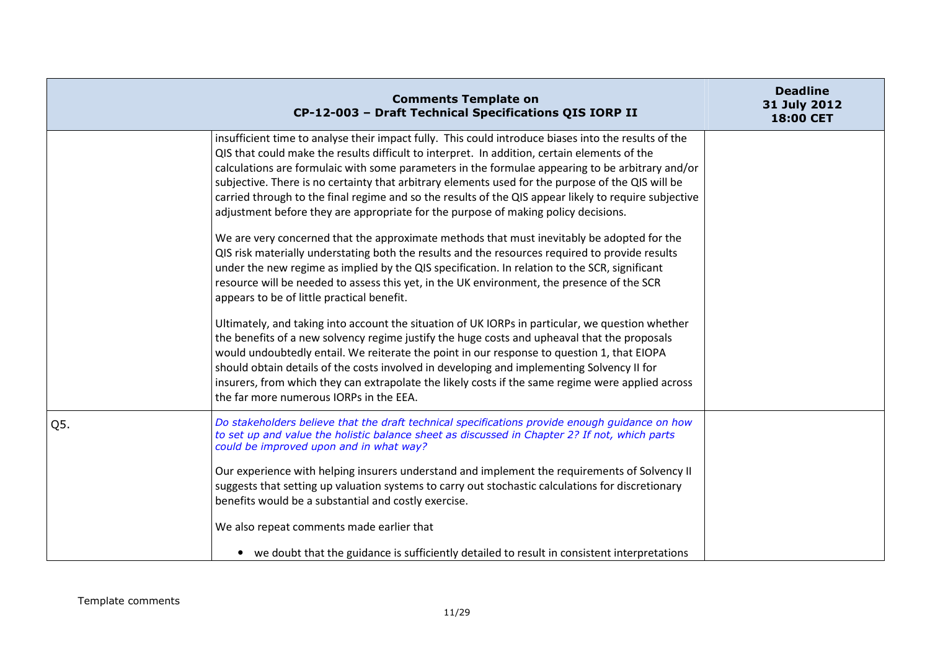|     | <b>Comments Template on</b><br>CP-12-003 - Draft Technical Specifications QIS IORP II                                                                                                                                                                                                                                                                                                                                                                                                                                                                                                                                                                                                                                                                                                                                                                                                                                                                                                                                                                                                                                                                                                                                                                                                                                                                                                                                                                                                                                                                                                                      | <b>Deadline</b><br>31 July 2012<br>18:00 CET |
|-----|------------------------------------------------------------------------------------------------------------------------------------------------------------------------------------------------------------------------------------------------------------------------------------------------------------------------------------------------------------------------------------------------------------------------------------------------------------------------------------------------------------------------------------------------------------------------------------------------------------------------------------------------------------------------------------------------------------------------------------------------------------------------------------------------------------------------------------------------------------------------------------------------------------------------------------------------------------------------------------------------------------------------------------------------------------------------------------------------------------------------------------------------------------------------------------------------------------------------------------------------------------------------------------------------------------------------------------------------------------------------------------------------------------------------------------------------------------------------------------------------------------------------------------------------------------------------------------------------------------|----------------------------------------------|
|     | insufficient time to analyse their impact fully. This could introduce biases into the results of the<br>QIS that could make the results difficult to interpret. In addition, certain elements of the<br>calculations are formulaic with some parameters in the formulae appearing to be arbitrary and/or<br>subjective. There is no certainty that arbitrary elements used for the purpose of the QIS will be<br>carried through to the final regime and so the results of the QIS appear likely to require subjective<br>adjustment before they are appropriate for the purpose of making policy decisions.<br>We are very concerned that the approximate methods that must inevitably be adopted for the<br>QIS risk materially understating both the results and the resources required to provide results<br>under the new regime as implied by the QIS specification. In relation to the SCR, significant<br>resource will be needed to assess this yet, in the UK environment, the presence of the SCR<br>appears to be of little practical benefit.<br>Ultimately, and taking into account the situation of UK IORPs in particular, we question whether<br>the benefits of a new solvency regime justify the huge costs and upheaval that the proposals<br>would undoubtedly entail. We reiterate the point in our response to question 1, that EIOPA<br>should obtain details of the costs involved in developing and implementing Solvency II for<br>insurers, from which they can extrapolate the likely costs if the same regime were applied across<br>the far more numerous IORPs in the EEA. |                                              |
| Q5. | Do stakeholders believe that the draft technical specifications provide enough guidance on how<br>to set up and value the holistic balance sheet as discussed in Chapter 2? If not, which parts<br>could be improved upon and in what way?<br>Our experience with helping insurers understand and implement the requirements of Solvency II<br>suggests that setting up valuation systems to carry out stochastic calculations for discretionary<br>benefits would be a substantial and costly exercise.<br>We also repeat comments made earlier that<br>• we doubt that the guidance is sufficiently detailed to result in consistent interpretations                                                                                                                                                                                                                                                                                                                                                                                                                                                                                                                                                                                                                                                                                                                                                                                                                                                                                                                                                     |                                              |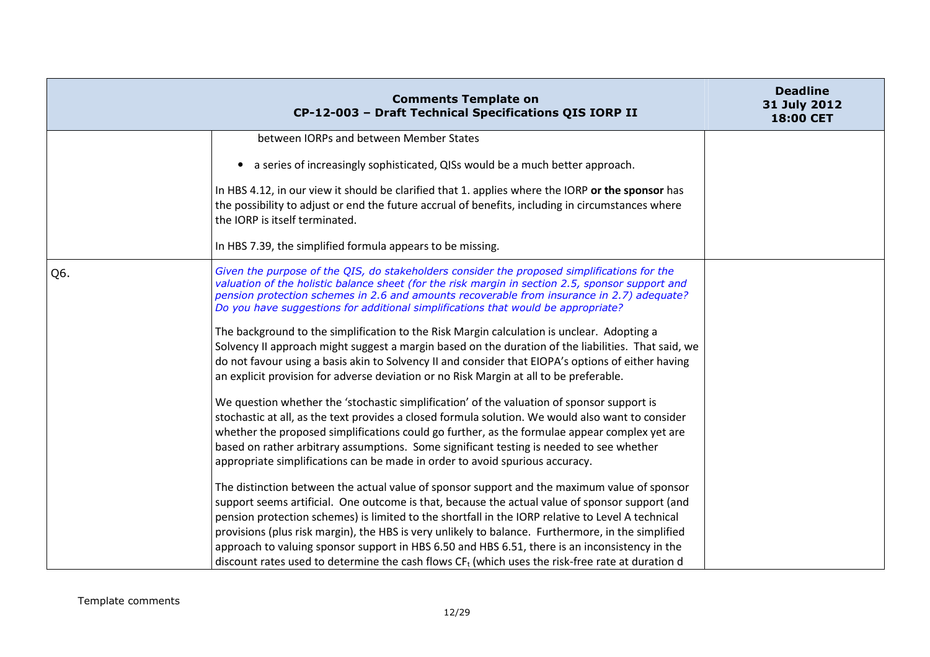|     | <b>Comments Template on</b><br>CP-12-003 - Draft Technical Specifications QIS IORP II                                                                                                                                                                                                                                                                                                                                                                                                                                                                                                                              | <b>Deadline</b><br>31 July 2012<br>18:00 CET |
|-----|--------------------------------------------------------------------------------------------------------------------------------------------------------------------------------------------------------------------------------------------------------------------------------------------------------------------------------------------------------------------------------------------------------------------------------------------------------------------------------------------------------------------------------------------------------------------------------------------------------------------|----------------------------------------------|
|     | between IORPs and between Member States                                                                                                                                                                                                                                                                                                                                                                                                                                                                                                                                                                            |                                              |
|     | a series of increasingly sophisticated, QISs would be a much better approach.<br>$\bullet$                                                                                                                                                                                                                                                                                                                                                                                                                                                                                                                         |                                              |
|     | In HBS 4.12, in our view it should be clarified that 1. applies where the IORP or the sponsor has<br>the possibility to adjust or end the future accrual of benefits, including in circumstances where<br>the IORP is itself terminated.                                                                                                                                                                                                                                                                                                                                                                           |                                              |
|     | In HBS 7.39, the simplified formula appears to be missing.                                                                                                                                                                                                                                                                                                                                                                                                                                                                                                                                                         |                                              |
| Q6. | Given the purpose of the QIS, do stakeholders consider the proposed simplifications for the<br>valuation of the holistic balance sheet (for the risk margin in section 2.5, sponsor support and<br>pension protection schemes in 2.6 and amounts recoverable from insurance in 2.7) adequate?<br>Do you have suggestions for additional simplifications that would be appropriate?                                                                                                                                                                                                                                 |                                              |
|     | The background to the simplification to the Risk Margin calculation is unclear. Adopting a<br>Solvency II approach might suggest a margin based on the duration of the liabilities. That said, we<br>do not favour using a basis akin to Solvency II and consider that EIOPA's options of either having<br>an explicit provision for adverse deviation or no Risk Margin at all to be preferable.                                                                                                                                                                                                                  |                                              |
|     | We question whether the 'stochastic simplification' of the valuation of sponsor support is<br>stochastic at all, as the text provides a closed formula solution. We would also want to consider<br>whether the proposed simplifications could go further, as the formulae appear complex yet are<br>based on rather arbitrary assumptions. Some significant testing is needed to see whether<br>appropriate simplifications can be made in order to avoid spurious accuracy.                                                                                                                                       |                                              |
|     | The distinction between the actual value of sponsor support and the maximum value of sponsor<br>support seems artificial. One outcome is that, because the actual value of sponsor support (and<br>pension protection schemes) is limited to the shortfall in the IORP relative to Level A technical<br>provisions (plus risk margin), the HBS is very unlikely to balance. Furthermore, in the simplified<br>approach to valuing sponsor support in HBS 6.50 and HBS 6.51, there is an inconsistency in the<br>discount rates used to determine the cash flows $CFt$ (which uses the risk-free rate at duration d |                                              |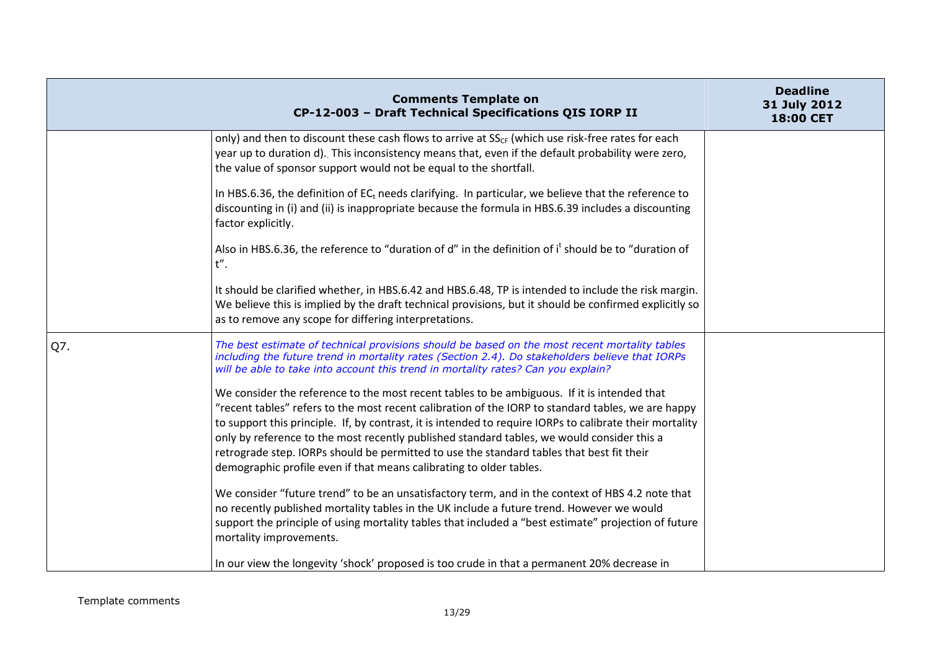|     | <b>Comments Template on</b><br>CP-12-003 - Draft Technical Specifications QIS IORP II                                                                                                                                                                                                                                                                                                                                                                                                                                                                                           | <b>Deadline</b><br>31 July 2012<br><b>18:00 CET</b> |
|-----|---------------------------------------------------------------------------------------------------------------------------------------------------------------------------------------------------------------------------------------------------------------------------------------------------------------------------------------------------------------------------------------------------------------------------------------------------------------------------------------------------------------------------------------------------------------------------------|-----------------------------------------------------|
|     | only) and then to discount these cash flows to arrive at $SS_{CF}$ (which use risk-free rates for each<br>year up to duration d). This inconsistency means that, even if the default probability were zero,<br>the value of sponsor support would not be equal to the shortfall.                                                                                                                                                                                                                                                                                                |                                                     |
|     | In HBS.6.36, the definition of $ECt$ needs clarifying. In particular, we believe that the reference to<br>discounting in (i) and (ii) is inappropriate because the formula in HBS.6.39 includes a discounting<br>factor explicitly.                                                                                                                                                                                                                                                                                                                                             |                                                     |
|     | Also in HBS.6.36, the reference to "duration of d" in the definition of it should be to "duration of<br>$t''$ .                                                                                                                                                                                                                                                                                                                                                                                                                                                                 |                                                     |
|     | It should be clarified whether, in HBS.6.42 and HBS.6.48, TP is intended to include the risk margin.<br>We believe this is implied by the draft technical provisions, but it should be confirmed explicitly so<br>as to remove any scope for differing interpretations.                                                                                                                                                                                                                                                                                                         |                                                     |
| Q7. | The best estimate of technical provisions should be based on the most recent mortality tables<br>including the future trend in mortality rates (Section 2.4). Do stakeholders believe that IORPs<br>will be able to take into account this trend in mortality rates? Can you explain?                                                                                                                                                                                                                                                                                           |                                                     |
|     | We consider the reference to the most recent tables to be ambiguous. If it is intended that<br>"recent tables" refers to the most recent calibration of the IORP to standard tables, we are happy<br>to support this principle. If, by contrast, it is intended to require IORPs to calibrate their mortality<br>only by reference to the most recently published standard tables, we would consider this a<br>retrograde step. IORPs should be permitted to use the standard tables that best fit their<br>demographic profile even if that means calibrating to older tables. |                                                     |
|     | We consider "future trend" to be an unsatisfactory term, and in the context of HBS 4.2 note that<br>no recently published mortality tables in the UK include a future trend. However we would<br>support the principle of using mortality tables that included a "best estimate" projection of future<br>mortality improvements.                                                                                                                                                                                                                                                |                                                     |
|     | In our view the longevity 'shock' proposed is too crude in that a permanent 20% decrease in                                                                                                                                                                                                                                                                                                                                                                                                                                                                                     |                                                     |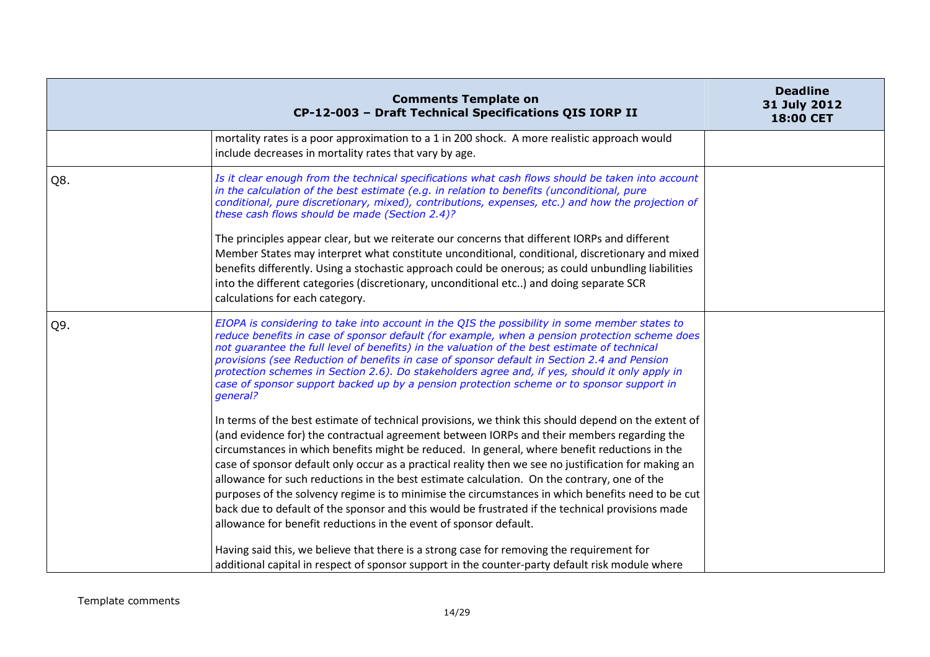|     | <b>Comments Template on</b><br>CP-12-003 - Draft Technical Specifications QIS IORP II                                                                                                                                                                                                                                                                                                                                                                                                                                                                                                                                                                                                                                                                                                                                                                                                                                                                                                                                                                                                                                                                                                                                                                                                                                           | <b>Deadline</b><br>31 July 2012<br>18:00 CET |
|-----|---------------------------------------------------------------------------------------------------------------------------------------------------------------------------------------------------------------------------------------------------------------------------------------------------------------------------------------------------------------------------------------------------------------------------------------------------------------------------------------------------------------------------------------------------------------------------------------------------------------------------------------------------------------------------------------------------------------------------------------------------------------------------------------------------------------------------------------------------------------------------------------------------------------------------------------------------------------------------------------------------------------------------------------------------------------------------------------------------------------------------------------------------------------------------------------------------------------------------------------------------------------------------------------------------------------------------------|----------------------------------------------|
|     | mortality rates is a poor approximation to a 1 in 200 shock. A more realistic approach would<br>include decreases in mortality rates that vary by age.                                                                                                                                                                                                                                                                                                                                                                                                                                                                                                                                                                                                                                                                                                                                                                                                                                                                                                                                                                                                                                                                                                                                                                          |                                              |
| Q8. | Is it clear enough from the technical specifications what cash flows should be taken into account<br>in the calculation of the best estimate (e.g. in relation to benefits (unconditional, pure<br>conditional, pure discretionary, mixed), contributions, expenses, etc.) and how the projection of<br>these cash flows should be made (Section 2.4)?<br>The principles appear clear, but we reiterate our concerns that different IORPs and different<br>Member States may interpret what constitute unconditional, conditional, discretionary and mixed<br>benefits differently. Using a stochastic approach could be onerous; as could unbundling liabilities<br>into the different categories (discretionary, unconditional etc) and doing separate SCR<br>calculations for each category.                                                                                                                                                                                                                                                                                                                                                                                                                                                                                                                                 |                                              |
| Q9. | EIOPA is considering to take into account in the QIS the possibility in some member states to<br>reduce benefits in case of sponsor default (for example, when a pension protection scheme does<br>not guarantee the full level of benefits) in the valuation of the best estimate of technical<br>provisions (see Reduction of benefits in case of sponsor default in Section 2.4 and Pension<br>protection schemes in Section 2.6). Do stakeholders agree and, if yes, should it only apply in<br>case of sponsor support backed up by a pension protection scheme or to sponsor support in<br>general?<br>In terms of the best estimate of technical provisions, we think this should depend on the extent of<br>(and evidence for) the contractual agreement between IORPs and their members regarding the<br>circumstances in which benefits might be reduced. In general, where benefit reductions in the<br>case of sponsor default only occur as a practical reality then we see no justification for making an<br>allowance for such reductions in the best estimate calculation. On the contrary, one of the<br>purposes of the solvency regime is to minimise the circumstances in which benefits need to be cut<br>back due to default of the sponsor and this would be frustrated if the technical provisions made |                                              |
|     | allowance for benefit reductions in the event of sponsor default.<br>Having said this, we believe that there is a strong case for removing the requirement for<br>additional capital in respect of sponsor support in the counter-party default risk module where                                                                                                                                                                                                                                                                                                                                                                                                                                                                                                                                                                                                                                                                                                                                                                                                                                                                                                                                                                                                                                                               |                                              |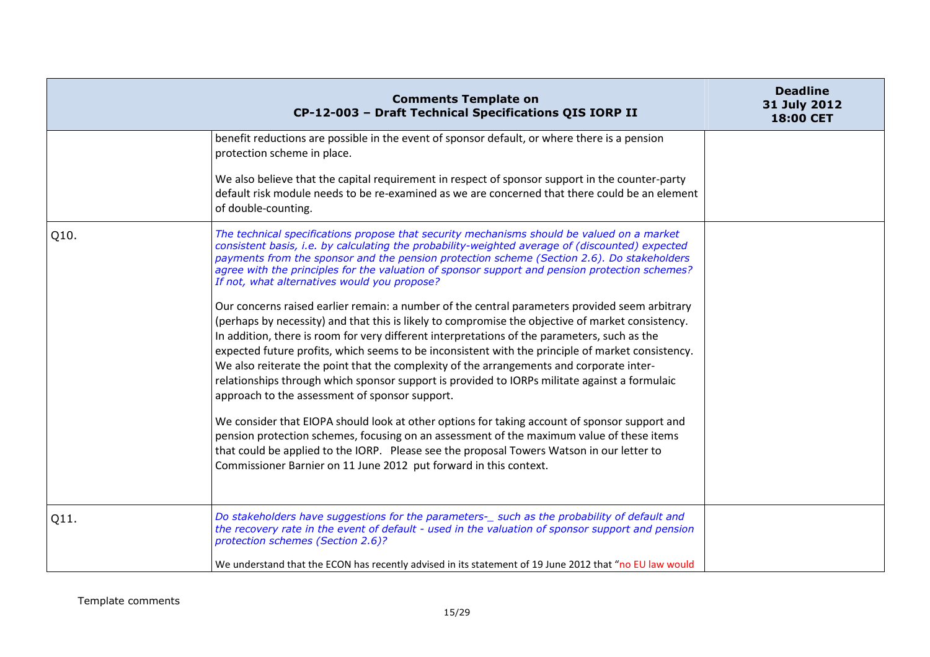|      | <b>Comments Template on</b><br>CP-12-003 - Draft Technical Specifications QIS IORP II                                                                                                                                                                                                                                                                                                                                                                                                                                                                                                                                                                   | <b>Deadline</b><br>31 July 2012<br><b>18:00 CET</b> |
|------|---------------------------------------------------------------------------------------------------------------------------------------------------------------------------------------------------------------------------------------------------------------------------------------------------------------------------------------------------------------------------------------------------------------------------------------------------------------------------------------------------------------------------------------------------------------------------------------------------------------------------------------------------------|-----------------------------------------------------|
|      | benefit reductions are possible in the event of sponsor default, or where there is a pension<br>protection scheme in place.                                                                                                                                                                                                                                                                                                                                                                                                                                                                                                                             |                                                     |
|      | We also believe that the capital requirement in respect of sponsor support in the counter-party<br>default risk module needs to be re-examined as we are concerned that there could be an element<br>of double-counting.                                                                                                                                                                                                                                                                                                                                                                                                                                |                                                     |
| Q10. | The technical specifications propose that security mechanisms should be valued on a market<br>consistent basis, i.e. by calculating the probability-weighted average of (discounted) expected<br>payments from the sponsor and the pension protection scheme (Section 2.6). Do stakeholders<br>agree with the principles for the valuation of sponsor support and pension protection schemes?<br>If not, what alternatives would you propose?                                                                                                                                                                                                           |                                                     |
|      | Our concerns raised earlier remain: a number of the central parameters provided seem arbitrary<br>(perhaps by necessity) and that this is likely to compromise the objective of market consistency.<br>In addition, there is room for very different interpretations of the parameters, such as the<br>expected future profits, which seems to be inconsistent with the principle of market consistency.<br>We also reiterate the point that the complexity of the arrangements and corporate inter-<br>relationships through which sponsor support is provided to IORPs militate against a formulaic<br>approach to the assessment of sponsor support. |                                                     |
|      | We consider that EIOPA should look at other options for taking account of sponsor support and<br>pension protection schemes, focusing on an assessment of the maximum value of these items<br>that could be applied to the IORP. Please see the proposal Towers Watson in our letter to<br>Commissioner Barnier on 11 June 2012 put forward in this context.                                                                                                                                                                                                                                                                                            |                                                     |
| Q11. | Do stakeholders have suggestions for the parameters-_ such as the probability of default and<br>the recovery rate in the event of default - used in the valuation of sponsor support and pension<br>protection schemes (Section 2.6)?                                                                                                                                                                                                                                                                                                                                                                                                                   |                                                     |
|      | We understand that the ECON has recently advised in its statement of 19 June 2012 that "no EU law would                                                                                                                                                                                                                                                                                                                                                                                                                                                                                                                                                 |                                                     |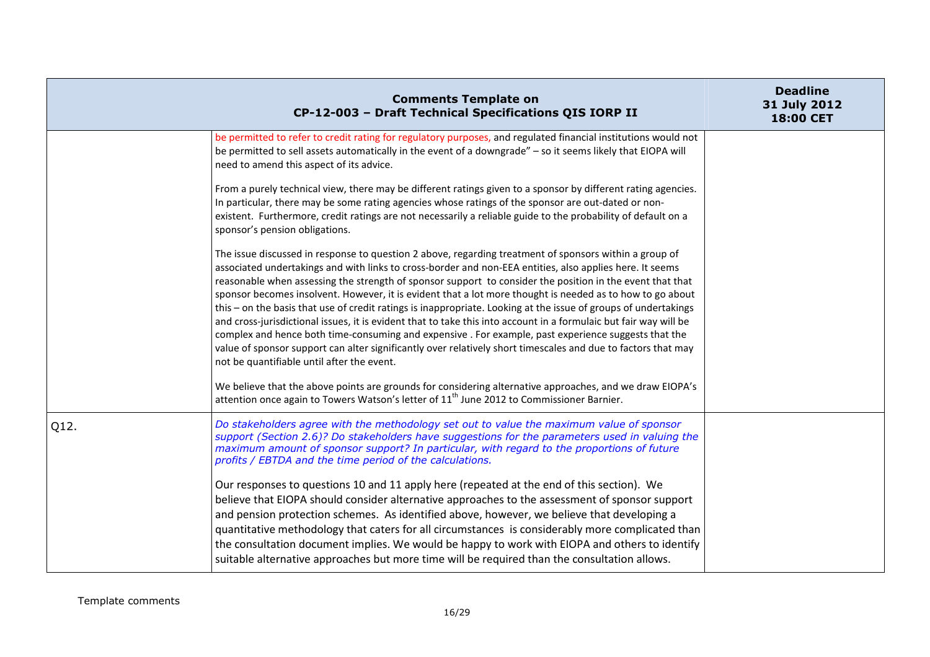|      | <b>Comments Template on</b><br>CP-12-003 - Draft Technical Specifications QIS IORP II                                                                                                                                                                                                                                                                                                                                                                                                                                                                                                                                                                                                                                                                                                                                                                                                                                                                       | <b>Deadline</b><br>31 July 2012<br><b>18:00 CET</b> |
|------|-------------------------------------------------------------------------------------------------------------------------------------------------------------------------------------------------------------------------------------------------------------------------------------------------------------------------------------------------------------------------------------------------------------------------------------------------------------------------------------------------------------------------------------------------------------------------------------------------------------------------------------------------------------------------------------------------------------------------------------------------------------------------------------------------------------------------------------------------------------------------------------------------------------------------------------------------------------|-----------------------------------------------------|
|      | be permitted to refer to credit rating for regulatory purposes, and regulated financial institutions would not<br>be permitted to sell assets automatically in the event of a downgrade" - so it seems likely that EIOPA will<br>need to amend this aspect of its advice.                                                                                                                                                                                                                                                                                                                                                                                                                                                                                                                                                                                                                                                                                   |                                                     |
|      | From a purely technical view, there may be different ratings given to a sponsor by different rating agencies.<br>In particular, there may be some rating agencies whose ratings of the sponsor are out-dated or non-<br>existent. Furthermore, credit ratings are not necessarily a reliable guide to the probability of default on a<br>sponsor's pension obligations.                                                                                                                                                                                                                                                                                                                                                                                                                                                                                                                                                                                     |                                                     |
|      | The issue discussed in response to question 2 above, regarding treatment of sponsors within a group of<br>associated undertakings and with links to cross-border and non-EEA entities, also applies here. It seems<br>reasonable when assessing the strength of sponsor support to consider the position in the event that that<br>sponsor becomes insolvent. However, it is evident that a lot more thought is needed as to how to go about<br>this - on the basis that use of credit ratings is inappropriate. Looking at the issue of groups of undertakings<br>and cross-jurisdictional issues, it is evident that to take this into account in a formulaic but fair way will be<br>complex and hence both time-consuming and expensive . For example, past experience suggests that the<br>value of sponsor support can alter significantly over relatively short timescales and due to factors that may<br>not be quantifiable until after the event. |                                                     |
|      | We believe that the above points are grounds for considering alternative approaches, and we draw EIOPA's<br>attention once again to Towers Watson's letter of 11 <sup>th</sup> June 2012 to Commissioner Barnier.                                                                                                                                                                                                                                                                                                                                                                                                                                                                                                                                                                                                                                                                                                                                           |                                                     |
| Q12. | Do stakeholders agree with the methodology set out to value the maximum value of sponsor<br>support (Section 2.6)? Do stakeholders have suggestions for the parameters used in valuing the<br>maximum amount of sponsor support? In particular, with regard to the proportions of future<br>profits / EBTDA and the time period of the calculations.                                                                                                                                                                                                                                                                                                                                                                                                                                                                                                                                                                                                        |                                                     |
|      | Our responses to questions 10 and 11 apply here (repeated at the end of this section). We<br>believe that EIOPA should consider alternative approaches to the assessment of sponsor support<br>and pension protection schemes. As identified above, however, we believe that developing a<br>quantitative methodology that caters for all circumstances is considerably more complicated than<br>the consultation document implies. We would be happy to work with EIOPA and others to identify<br>suitable alternative approaches but more time will be required than the consultation allows.                                                                                                                                                                                                                                                                                                                                                             |                                                     |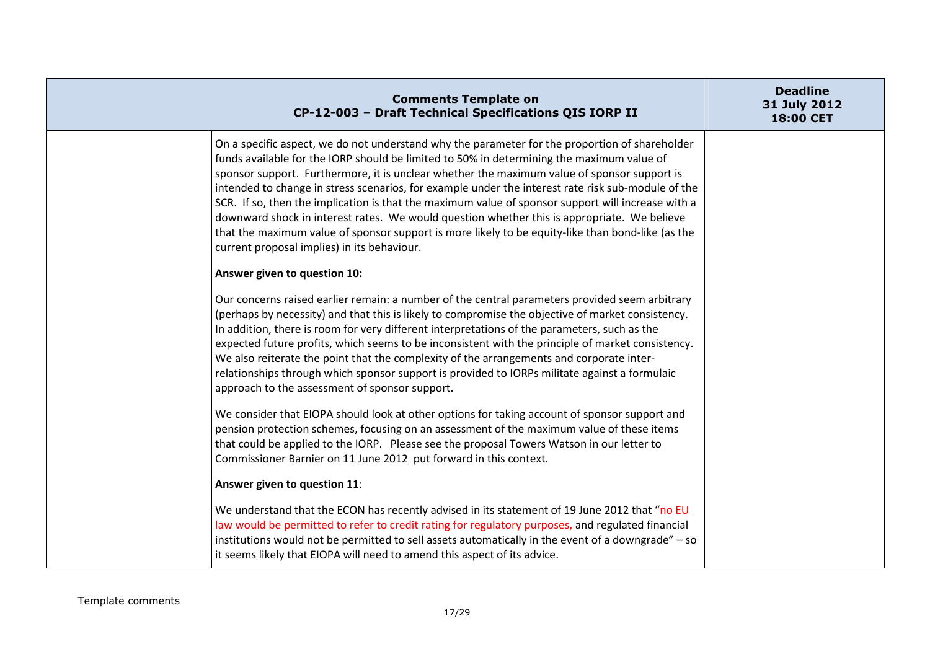| <b>Comments Template on</b><br>CP-12-003 - Draft Technical Specifications QIS IORP II                                                                                                                                                                                                                                                                                                                                                                                                                                                                                                                                                                                                                                                                     | <b>Deadline</b><br>31 July 2012<br>18:00 CET |
|-----------------------------------------------------------------------------------------------------------------------------------------------------------------------------------------------------------------------------------------------------------------------------------------------------------------------------------------------------------------------------------------------------------------------------------------------------------------------------------------------------------------------------------------------------------------------------------------------------------------------------------------------------------------------------------------------------------------------------------------------------------|----------------------------------------------|
| On a specific aspect, we do not understand why the parameter for the proportion of shareholder<br>funds available for the IORP should be limited to 50% in determining the maximum value of<br>sponsor support. Furthermore, it is unclear whether the maximum value of sponsor support is<br>intended to change in stress scenarios, for example under the interest rate risk sub-module of the<br>SCR. If so, then the implication is that the maximum value of sponsor support will increase with a<br>downward shock in interest rates. We would question whether this is appropriate. We believe<br>that the maximum value of sponsor support is more likely to be equity-like than bond-like (as the<br>current proposal implies) in its behaviour. |                                              |
| Answer given to question 10:                                                                                                                                                                                                                                                                                                                                                                                                                                                                                                                                                                                                                                                                                                                              |                                              |
| Our concerns raised earlier remain: a number of the central parameters provided seem arbitrary<br>(perhaps by necessity) and that this is likely to compromise the objective of market consistency.<br>In addition, there is room for very different interpretations of the parameters, such as the<br>expected future profits, which seems to be inconsistent with the principle of market consistency.<br>We also reiterate the point that the complexity of the arrangements and corporate inter-<br>relationships through which sponsor support is provided to IORPs militate against a formulaic<br>approach to the assessment of sponsor support.                                                                                                   |                                              |
| We consider that EIOPA should look at other options for taking account of sponsor support and<br>pension protection schemes, focusing on an assessment of the maximum value of these items<br>that could be applied to the IORP. Please see the proposal Towers Watson in our letter to<br>Commissioner Barnier on 11 June 2012 put forward in this context.                                                                                                                                                                                                                                                                                                                                                                                              |                                              |
| Answer given to question 11:                                                                                                                                                                                                                                                                                                                                                                                                                                                                                                                                                                                                                                                                                                                              |                                              |
| We understand that the ECON has recently advised in its statement of 19 June 2012 that "no EU<br>law would be permitted to refer to credit rating for regulatory purposes, and regulated financial<br>institutions would not be permitted to sell assets automatically in the event of a downgrade" - so<br>it seems likely that EIOPA will need to amend this aspect of its advice.                                                                                                                                                                                                                                                                                                                                                                      |                                              |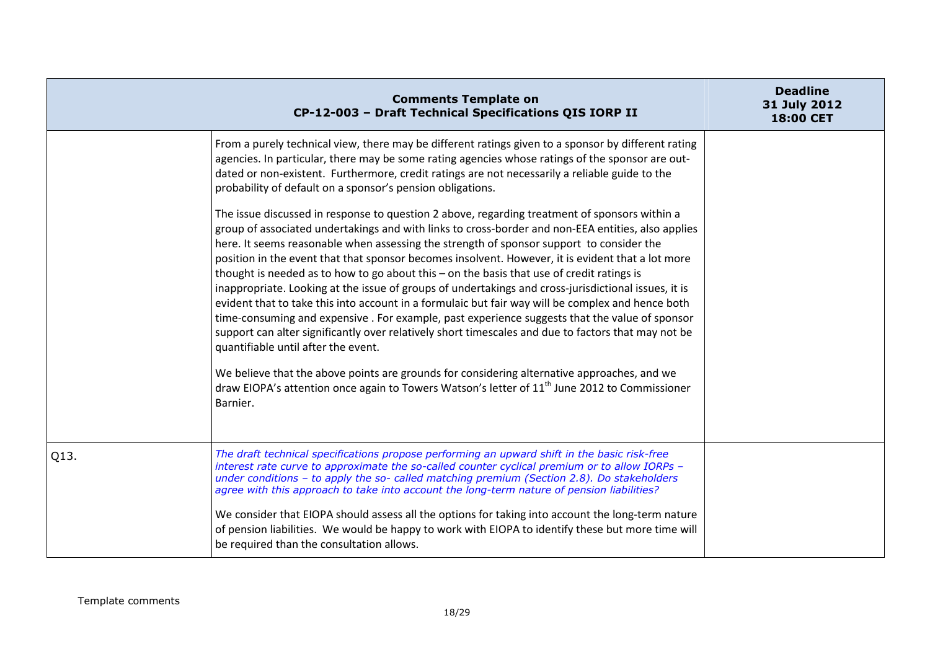|      | <b>Comments Template on</b><br>CP-12-003 - Draft Technical Specifications QIS IORP II                                                                                                                                                                                                                                                                                                                                                                                                                                                                                                                                                                                                                                                                                                                                                                                                                                                                                                                                                                                                                                                                                                                                                                                                                                                                                                                                                                                                                                                                            | <b>Deadline</b><br>31 July 2012<br>18:00 CET |
|------|------------------------------------------------------------------------------------------------------------------------------------------------------------------------------------------------------------------------------------------------------------------------------------------------------------------------------------------------------------------------------------------------------------------------------------------------------------------------------------------------------------------------------------------------------------------------------------------------------------------------------------------------------------------------------------------------------------------------------------------------------------------------------------------------------------------------------------------------------------------------------------------------------------------------------------------------------------------------------------------------------------------------------------------------------------------------------------------------------------------------------------------------------------------------------------------------------------------------------------------------------------------------------------------------------------------------------------------------------------------------------------------------------------------------------------------------------------------------------------------------------------------------------------------------------------------|----------------------------------------------|
|      | From a purely technical view, there may be different ratings given to a sponsor by different rating<br>agencies. In particular, there may be some rating agencies whose ratings of the sponsor are out-<br>dated or non-existent. Furthermore, credit ratings are not necessarily a reliable guide to the<br>probability of default on a sponsor's pension obligations.<br>The issue discussed in response to question 2 above, regarding treatment of sponsors within a<br>group of associated undertakings and with links to cross-border and non-EEA entities, also applies<br>here. It seems reasonable when assessing the strength of sponsor support to consider the<br>position in the event that that sponsor becomes insolvent. However, it is evident that a lot more<br>thought is needed as to how to go about this - on the basis that use of credit ratings is<br>inappropriate. Looking at the issue of groups of undertakings and cross-jurisdictional issues, it is<br>evident that to take this into account in a formulaic but fair way will be complex and hence both<br>time-consuming and expensive. For example, past experience suggests that the value of sponsor<br>support can alter significantly over relatively short timescales and due to factors that may not be<br>quantifiable until after the event.<br>We believe that the above points are grounds for considering alternative approaches, and we<br>draw EIOPA's attention once again to Towers Watson's letter of 11 <sup>th</sup> June 2012 to Commissioner<br>Barnier. |                                              |
| Q13. | The draft technical specifications propose performing an upward shift in the basic risk-free<br>interest rate curve to approximate the so-called counter cyclical premium or to allow IORPs -<br>under conditions - to apply the so- called matching premium (Section 2.8). Do stakeholders<br>agree with this approach to take into account the long-term nature of pension liabilities?<br>We consider that EIOPA should assess all the options for taking into account the long-term nature<br>of pension liabilities. We would be happy to work with EIOPA to identify these but more time will<br>be required than the consultation allows.                                                                                                                                                                                                                                                                                                                                                                                                                                                                                                                                                                                                                                                                                                                                                                                                                                                                                                                 |                                              |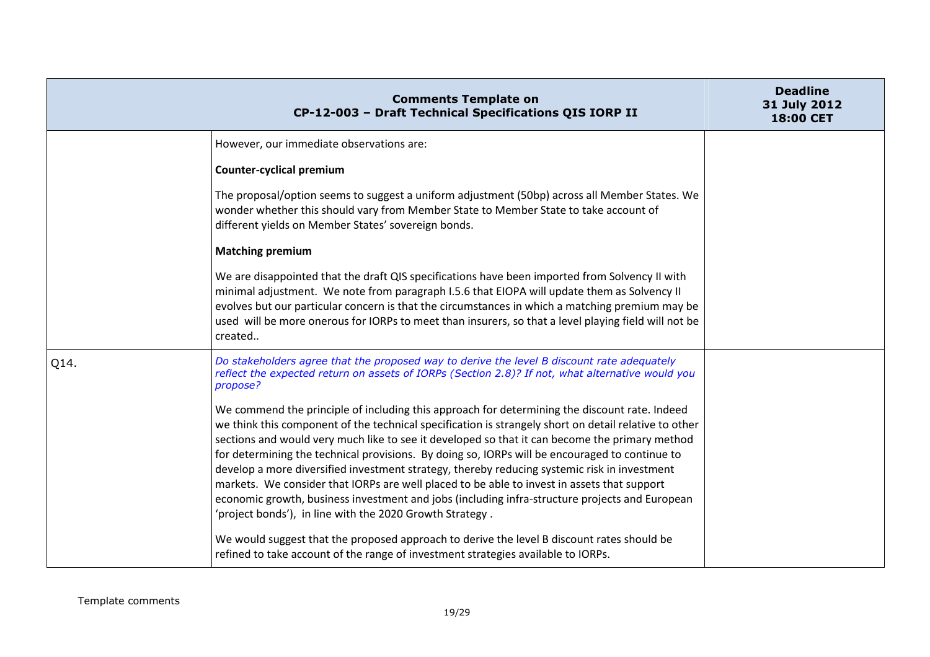|      | <b>Comments Template on</b><br>CP-12-003 - Draft Technical Specifications QIS IORP II                                                                                                                                                                                                                                                                                                                                                                                                                                                                                                                                                                                                                                                                                   | <b>Deadline</b><br>31 July 2012<br>18:00 CET |
|------|-------------------------------------------------------------------------------------------------------------------------------------------------------------------------------------------------------------------------------------------------------------------------------------------------------------------------------------------------------------------------------------------------------------------------------------------------------------------------------------------------------------------------------------------------------------------------------------------------------------------------------------------------------------------------------------------------------------------------------------------------------------------------|----------------------------------------------|
|      | However, our immediate observations are:                                                                                                                                                                                                                                                                                                                                                                                                                                                                                                                                                                                                                                                                                                                                |                                              |
|      | <b>Counter-cyclical premium</b>                                                                                                                                                                                                                                                                                                                                                                                                                                                                                                                                                                                                                                                                                                                                         |                                              |
|      | The proposal/option seems to suggest a uniform adjustment (50bp) across all Member States. We<br>wonder whether this should vary from Member State to Member State to take account of<br>different yields on Member States' sovereign bonds.                                                                                                                                                                                                                                                                                                                                                                                                                                                                                                                            |                                              |
|      | <b>Matching premium</b>                                                                                                                                                                                                                                                                                                                                                                                                                                                                                                                                                                                                                                                                                                                                                 |                                              |
|      | We are disappointed that the draft QIS specifications have been imported from Solvency II with<br>minimal adjustment. We note from paragraph I.5.6 that EIOPA will update them as Solvency II<br>evolves but our particular concern is that the circumstances in which a matching premium may be<br>used will be more onerous for IORPs to meet than insurers, so that a level playing field will not be<br>created                                                                                                                                                                                                                                                                                                                                                     |                                              |
| Q14. | Do stakeholders agree that the proposed way to derive the level B discount rate adequately<br>reflect the expected return on assets of IORPs (Section 2.8)? If not, what alternative would you<br>propose?                                                                                                                                                                                                                                                                                                                                                                                                                                                                                                                                                              |                                              |
|      | We commend the principle of including this approach for determining the discount rate. Indeed<br>we think this component of the technical specification is strangely short on detail relative to other<br>sections and would very much like to see it developed so that it can become the primary method<br>for determining the technical provisions. By doing so, IORPs will be encouraged to continue to<br>develop a more diversified investment strategy, thereby reducing systemic risk in investment<br>markets. We consider that IORPs are well placed to be able to invest in assets that support<br>economic growth, business investment and jobs (including infra-structure projects and European<br>'project bonds'), in line with the 2020 Growth Strategy. |                                              |
|      | We would suggest that the proposed approach to derive the level B discount rates should be<br>refined to take account of the range of investment strategies available to IORPs.                                                                                                                                                                                                                                                                                                                                                                                                                                                                                                                                                                                         |                                              |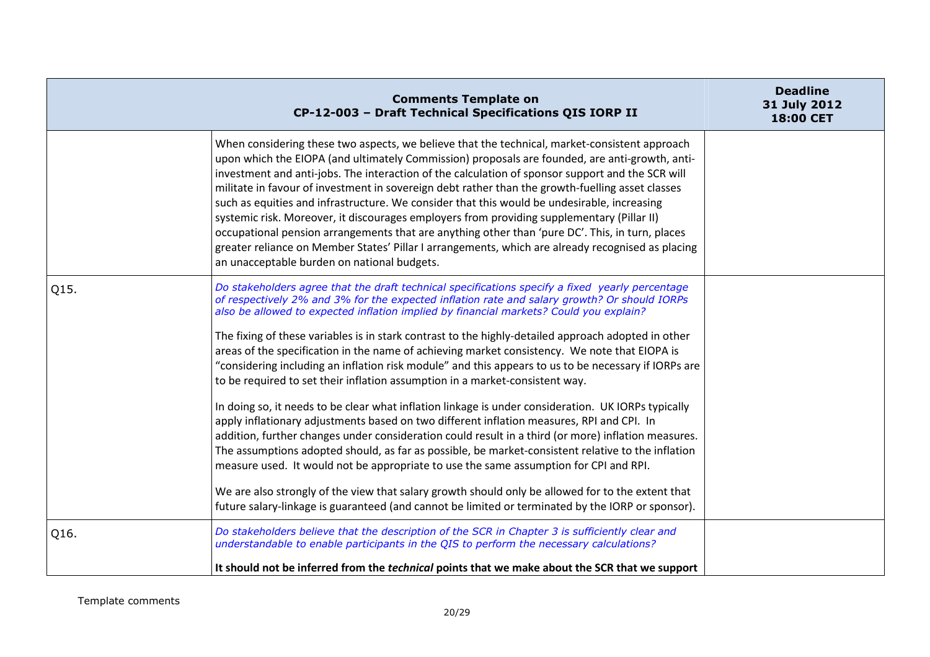|      | <b>Comments Template on</b><br>CP-12-003 - Draft Technical Specifications QIS IORP II                                                                                                                                                                                                                                                                                                                                                                                                                                                                                                                                                                                                                                                                                                                                                                       | <b>Deadline</b><br>31 July 2012<br>18:00 CET |
|------|-------------------------------------------------------------------------------------------------------------------------------------------------------------------------------------------------------------------------------------------------------------------------------------------------------------------------------------------------------------------------------------------------------------------------------------------------------------------------------------------------------------------------------------------------------------------------------------------------------------------------------------------------------------------------------------------------------------------------------------------------------------------------------------------------------------------------------------------------------------|----------------------------------------------|
|      | When considering these two aspects, we believe that the technical, market-consistent approach<br>upon which the EIOPA (and ultimately Commission) proposals are founded, are anti-growth, anti-<br>investment and anti-jobs. The interaction of the calculation of sponsor support and the SCR will<br>militate in favour of investment in sovereign debt rather than the growth-fuelling asset classes<br>such as equities and infrastructure. We consider that this would be undesirable, increasing<br>systemic risk. Moreover, it discourages employers from providing supplementary (Pillar II)<br>occupational pension arrangements that are anything other than 'pure DC'. This, in turn, places<br>greater reliance on Member States' Pillar I arrangements, which are already recognised as placing<br>an unacceptable burden on national budgets. |                                              |
| Q15. | Do stakeholders agree that the draft technical specifications specify a fixed yearly percentage<br>of respectively 2% and 3% for the expected inflation rate and salary growth? Or should IORPs<br>also be allowed to expected inflation implied by financial markets? Could you explain?                                                                                                                                                                                                                                                                                                                                                                                                                                                                                                                                                                   |                                              |
|      | The fixing of these variables is in stark contrast to the highly-detailed approach adopted in other<br>areas of the specification in the name of achieving market consistency. We note that EIOPA is<br>"considering including an inflation risk module" and this appears to us to be necessary if IORPs are<br>to be required to set their inflation assumption in a market-consistent way.                                                                                                                                                                                                                                                                                                                                                                                                                                                                |                                              |
|      | In doing so, it needs to be clear what inflation linkage is under consideration. UK IORPs typically<br>apply inflationary adjustments based on two different inflation measures, RPI and CPI. In<br>addition, further changes under consideration could result in a third (or more) inflation measures.<br>The assumptions adopted should, as far as possible, be market-consistent relative to the inflation<br>measure used. It would not be appropriate to use the same assumption for CPI and RPI.                                                                                                                                                                                                                                                                                                                                                      |                                              |
|      | We are also strongly of the view that salary growth should only be allowed for to the extent that<br>future salary-linkage is guaranteed (and cannot be limited or terminated by the IORP or sponsor).                                                                                                                                                                                                                                                                                                                                                                                                                                                                                                                                                                                                                                                      |                                              |
| Q16. | Do stakeholders believe that the description of the SCR in Chapter 3 is sufficiently clear and<br>understandable to enable participants in the QIS to perform the necessary calculations?                                                                                                                                                                                                                                                                                                                                                                                                                                                                                                                                                                                                                                                                   |                                              |
|      | It should not be inferred from the <i>technical</i> points that we make about the SCR that we support                                                                                                                                                                                                                                                                                                                                                                                                                                                                                                                                                                                                                                                                                                                                                       |                                              |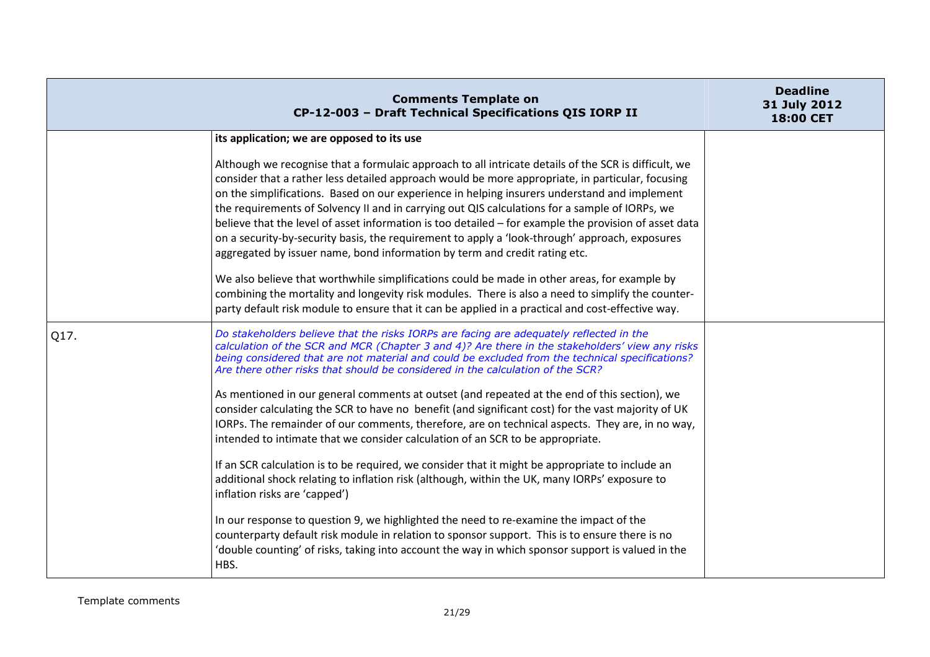|      | <b>Comments Template on</b><br>CP-12-003 - Draft Technical Specifications QIS IORP II                                                                                                                                                                                                                                                                                                                                                                                                                                                                                                                                                                                                               | <b>Deadline</b><br>31 July 2012<br>18:00 CET |
|------|-----------------------------------------------------------------------------------------------------------------------------------------------------------------------------------------------------------------------------------------------------------------------------------------------------------------------------------------------------------------------------------------------------------------------------------------------------------------------------------------------------------------------------------------------------------------------------------------------------------------------------------------------------------------------------------------------------|----------------------------------------------|
|      | its application; we are opposed to its use                                                                                                                                                                                                                                                                                                                                                                                                                                                                                                                                                                                                                                                          |                                              |
|      | Although we recognise that a formulaic approach to all intricate details of the SCR is difficult, we<br>consider that a rather less detailed approach would be more appropriate, in particular, focusing<br>on the simplifications. Based on our experience in helping insurers understand and implement<br>the requirements of Solvency II and in carrying out QIS calculations for a sample of IORPs, we<br>believe that the level of asset information is too detailed - for example the provision of asset data<br>on a security-by-security basis, the requirement to apply a 'look-through' approach, exposures<br>aggregated by issuer name, bond information by term and credit rating etc. |                                              |
|      | We also believe that worthwhile simplifications could be made in other areas, for example by<br>combining the mortality and longevity risk modules. There is also a need to simplify the counter-<br>party default risk module to ensure that it can be applied in a practical and cost-effective way.                                                                                                                                                                                                                                                                                                                                                                                              |                                              |
| Q17. | Do stakeholders believe that the risks IORPs are facing are adequately reflected in the<br>calculation of the SCR and MCR (Chapter 3 and 4)? Are there in the stakeholders' view any risks<br>being considered that are not material and could be excluded from the technical specifications?<br>Are there other risks that should be considered in the calculation of the SCR?<br>As mentioned in our general comments at outset (and repeated at the end of this section), we<br>consider calculating the SCR to have no benefit (and significant cost) for the vast majority of UK<br>IORPs. The remainder of our comments, therefore, are on technical aspects. They are, in no way,            |                                              |
|      | intended to intimate that we consider calculation of an SCR to be appropriate.<br>If an SCR calculation is to be required, we consider that it might be appropriate to include an<br>additional shock relating to inflation risk (although, within the UK, many IORPs' exposure to<br>inflation risks are 'capped')                                                                                                                                                                                                                                                                                                                                                                                 |                                              |
|      | In our response to question 9, we highlighted the need to re-examine the impact of the<br>counterparty default risk module in relation to sponsor support. This is to ensure there is no<br>'double counting' of risks, taking into account the way in which sponsor support is valued in the<br>HBS.                                                                                                                                                                                                                                                                                                                                                                                               |                                              |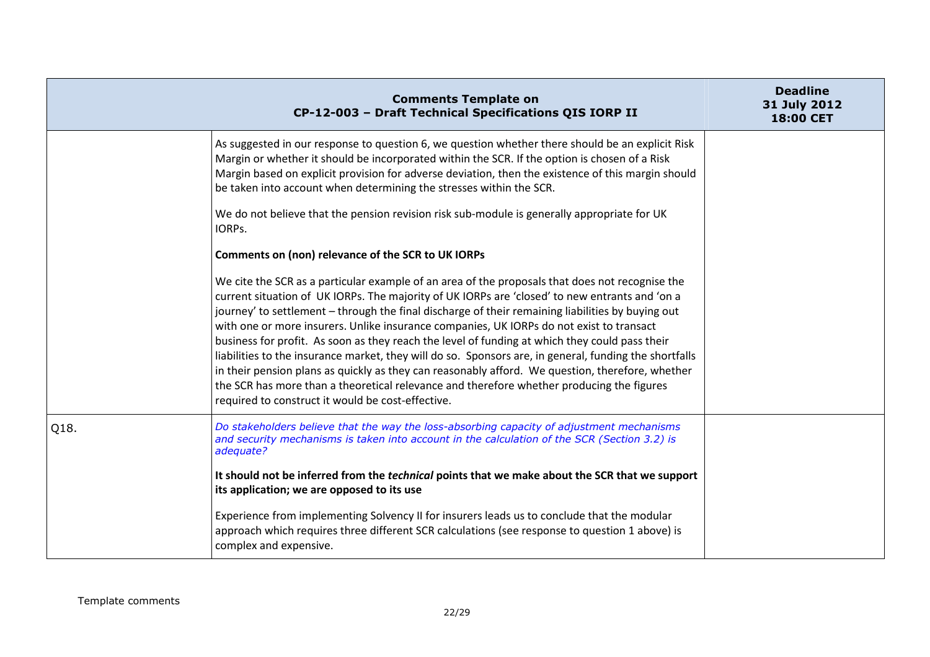|      | <b>Comments Template on</b><br>CP-12-003 - Draft Technical Specifications QIS IORP II                                                                                                                                                                                                                                                                                                                                                                                                                                                                                                                                                                                                                                                                                                                                                                                | <b>Deadline</b><br>31 July 2012<br>18:00 CET |
|------|----------------------------------------------------------------------------------------------------------------------------------------------------------------------------------------------------------------------------------------------------------------------------------------------------------------------------------------------------------------------------------------------------------------------------------------------------------------------------------------------------------------------------------------------------------------------------------------------------------------------------------------------------------------------------------------------------------------------------------------------------------------------------------------------------------------------------------------------------------------------|----------------------------------------------|
|      | As suggested in our response to question 6, we question whether there should be an explicit Risk<br>Margin or whether it should be incorporated within the SCR. If the option is chosen of a Risk<br>Margin based on explicit provision for adverse deviation, then the existence of this margin should<br>be taken into account when determining the stresses within the SCR.                                                                                                                                                                                                                                                                                                                                                                                                                                                                                       |                                              |
|      | We do not believe that the pension revision risk sub-module is generally appropriate for UK<br>IORPS.                                                                                                                                                                                                                                                                                                                                                                                                                                                                                                                                                                                                                                                                                                                                                                |                                              |
|      | Comments on (non) relevance of the SCR to UK IORPs                                                                                                                                                                                                                                                                                                                                                                                                                                                                                                                                                                                                                                                                                                                                                                                                                   |                                              |
|      | We cite the SCR as a particular example of an area of the proposals that does not recognise the<br>current situation of UK IORPs. The majority of UK IORPs are 'closed' to new entrants and 'on a<br>journey' to settlement - through the final discharge of their remaining liabilities by buying out<br>with one or more insurers. Unlike insurance companies, UK IORPs do not exist to transact<br>business for profit. As soon as they reach the level of funding at which they could pass their<br>liabilities to the insurance market, they will do so. Sponsors are, in general, funding the shortfalls<br>in their pension plans as quickly as they can reasonably afford. We question, therefore, whether<br>the SCR has more than a theoretical relevance and therefore whether producing the figures<br>required to construct it would be cost-effective. |                                              |
| Q18. | Do stakeholders believe that the way the loss-absorbing capacity of adjustment mechanisms<br>and security mechanisms is taken into account in the calculation of the SCR (Section 3.2) is<br>adequate?                                                                                                                                                                                                                                                                                                                                                                                                                                                                                                                                                                                                                                                               |                                              |
|      | It should not be inferred from the <i>technical</i> points that we make about the SCR that we support<br>its application; we are opposed to its use                                                                                                                                                                                                                                                                                                                                                                                                                                                                                                                                                                                                                                                                                                                  |                                              |
|      | Experience from implementing Solvency II for insurers leads us to conclude that the modular<br>approach which requires three different SCR calculations (see response to question 1 above) is<br>complex and expensive.                                                                                                                                                                                                                                                                                                                                                                                                                                                                                                                                                                                                                                              |                                              |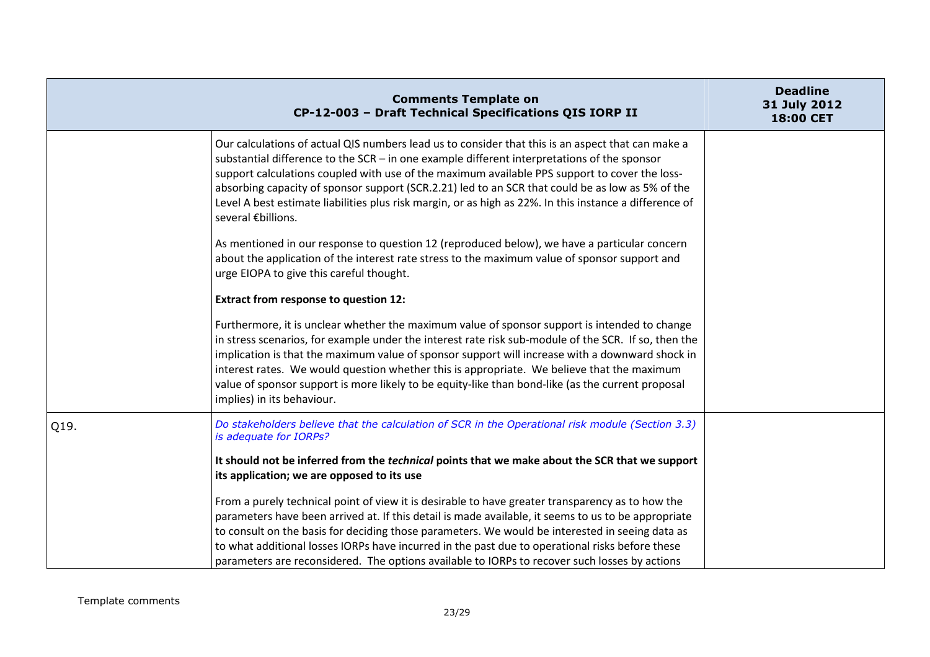|      | <b>Comments Template on</b><br>CP-12-003 - Draft Technical Specifications QIS IORP II                                                                                                                                                                                                                                                                                                                                                                                                                                                     | <b>Deadline</b><br>31 July 2012<br>18:00 CET |
|------|-------------------------------------------------------------------------------------------------------------------------------------------------------------------------------------------------------------------------------------------------------------------------------------------------------------------------------------------------------------------------------------------------------------------------------------------------------------------------------------------------------------------------------------------|----------------------------------------------|
|      | Our calculations of actual QIS numbers lead us to consider that this is an aspect that can make a<br>substantial difference to the $SCR - in$ one example different interpretations of the sponsor<br>support calculations coupled with use of the maximum available PPS support to cover the loss-<br>absorbing capacity of sponsor support (SCR.2.21) led to an SCR that could be as low as 5% of the<br>Level A best estimate liabilities plus risk margin, or as high as 22%. In this instance a difference of<br>several €billions.  |                                              |
|      | As mentioned in our response to question 12 (reproduced below), we have a particular concern<br>about the application of the interest rate stress to the maximum value of sponsor support and<br>urge EIOPA to give this careful thought.                                                                                                                                                                                                                                                                                                 |                                              |
|      | <b>Extract from response to question 12:</b>                                                                                                                                                                                                                                                                                                                                                                                                                                                                                              |                                              |
|      | Furthermore, it is unclear whether the maximum value of sponsor support is intended to change<br>in stress scenarios, for example under the interest rate risk sub-module of the SCR. If so, then the<br>implication is that the maximum value of sponsor support will increase with a downward shock in<br>interest rates. We would question whether this is appropriate. We believe that the maximum<br>value of sponsor support is more likely to be equity-like than bond-like (as the current proposal<br>implies) in its behaviour. |                                              |
| Q19. | Do stakeholders believe that the calculation of SCR in the Operational risk module (Section 3.3)<br>is adequate for IORPs?                                                                                                                                                                                                                                                                                                                                                                                                                |                                              |
|      | It should not be inferred from the <i>technical</i> points that we make about the SCR that we support<br>its application; we are opposed to its use                                                                                                                                                                                                                                                                                                                                                                                       |                                              |
|      | From a purely technical point of view it is desirable to have greater transparency as to how the<br>parameters have been arrived at. If this detail is made available, it seems to us to be appropriate<br>to consult on the basis for deciding those parameters. We would be interested in seeing data as<br>to what additional losses IORPs have incurred in the past due to operational risks before these<br>parameters are reconsidered. The options available to IORPs to recover such losses by actions                            |                                              |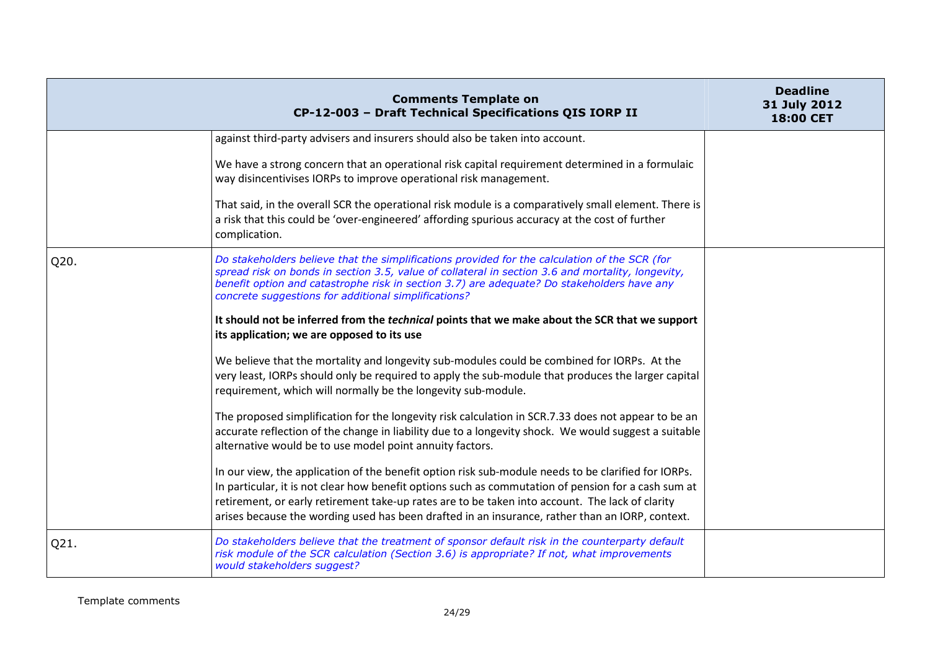|      | <b>Comments Template on</b><br>CP-12-003 - Draft Technical Specifications QIS IORP II                                                                                                                                                                                                                                                                                                                            | <b>Deadline</b><br>31 July 2012<br><b>18:00 CET</b> |
|------|------------------------------------------------------------------------------------------------------------------------------------------------------------------------------------------------------------------------------------------------------------------------------------------------------------------------------------------------------------------------------------------------------------------|-----------------------------------------------------|
|      | against third-party advisers and insurers should also be taken into account.                                                                                                                                                                                                                                                                                                                                     |                                                     |
|      | We have a strong concern that an operational risk capital requirement determined in a formulaic<br>way disincentivises IORPs to improve operational risk management.                                                                                                                                                                                                                                             |                                                     |
|      | That said, in the overall SCR the operational risk module is a comparatively small element. There is<br>a risk that this could be 'over-engineered' affording spurious accuracy at the cost of further<br>complication.                                                                                                                                                                                          |                                                     |
| Q20. | Do stakeholders believe that the simplifications provided for the calculation of the SCR (for<br>spread risk on bonds in section 3.5, value of collateral in section 3.6 and mortality, longevity,<br>benefit option and catastrophe risk in section 3.7) are adequate? Do stakeholders have any<br>concrete suggestions for additional simplifications?                                                         |                                                     |
|      | It should not be inferred from the <i>technical</i> points that we make about the SCR that we support<br>its application; we are opposed to its use                                                                                                                                                                                                                                                              |                                                     |
|      | We believe that the mortality and longevity sub-modules could be combined for IORPs. At the<br>very least, IORPs should only be required to apply the sub-module that produces the larger capital<br>requirement, which will normally be the longevity sub-module.                                                                                                                                               |                                                     |
|      | The proposed simplification for the longevity risk calculation in SCR.7.33 does not appear to be an<br>accurate reflection of the change in liability due to a longevity shock. We would suggest a suitable<br>alternative would be to use model point annuity factors.                                                                                                                                          |                                                     |
|      | In our view, the application of the benefit option risk sub-module needs to be clarified for IORPs.<br>In particular, it is not clear how benefit options such as commutation of pension for a cash sum at<br>retirement, or early retirement take-up rates are to be taken into account. The lack of clarity<br>arises because the wording used has been drafted in an insurance, rather than an IORP, context. |                                                     |
| Q21. | Do stakeholders believe that the treatment of sponsor default risk in the counterparty default<br>risk module of the SCR calculation (Section 3.6) is appropriate? If not, what improvements<br>would stakeholders suggest?                                                                                                                                                                                      |                                                     |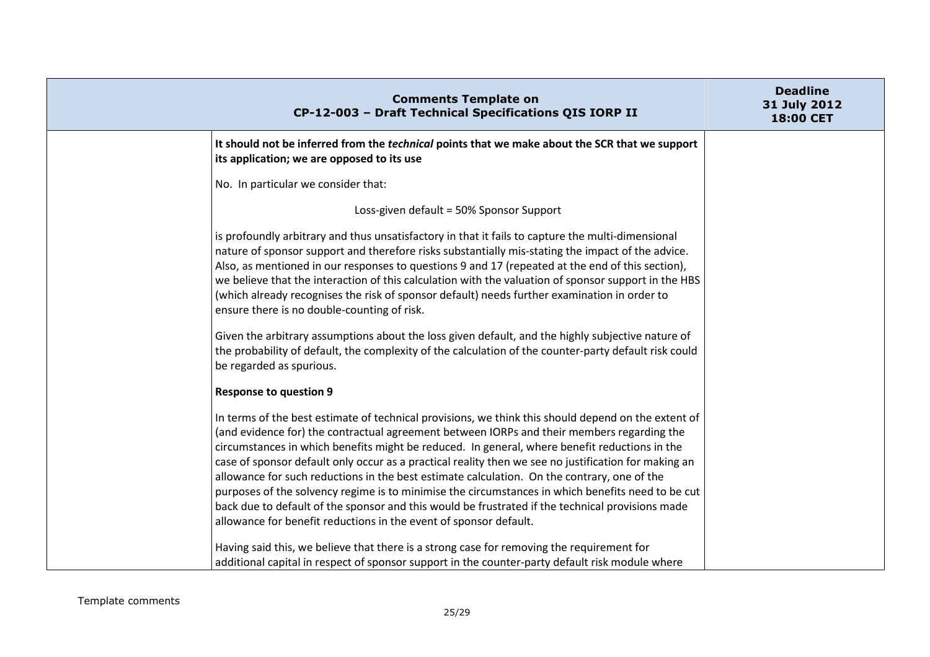| <b>Comments Template on</b><br>CP-12-003 - Draft Technical Specifications QIS IORP II                                                                                                                                                                                                                                                                                                                                                                                                                                                                                                                                                                                                                                                                                                   | <b>Deadline</b><br>31 July 2012<br>18:00 CET |
|-----------------------------------------------------------------------------------------------------------------------------------------------------------------------------------------------------------------------------------------------------------------------------------------------------------------------------------------------------------------------------------------------------------------------------------------------------------------------------------------------------------------------------------------------------------------------------------------------------------------------------------------------------------------------------------------------------------------------------------------------------------------------------------------|----------------------------------------------|
| It should not be inferred from the <i>technical</i> points that we make about the SCR that we support<br>its application; we are opposed to its use                                                                                                                                                                                                                                                                                                                                                                                                                                                                                                                                                                                                                                     |                                              |
| No. In particular we consider that:                                                                                                                                                                                                                                                                                                                                                                                                                                                                                                                                                                                                                                                                                                                                                     |                                              |
| Loss-given default = 50% Sponsor Support                                                                                                                                                                                                                                                                                                                                                                                                                                                                                                                                                                                                                                                                                                                                                |                                              |
| is profoundly arbitrary and thus unsatisfactory in that it fails to capture the multi-dimensional<br>nature of sponsor support and therefore risks substantially mis-stating the impact of the advice.<br>Also, as mentioned in our responses to questions 9 and 17 (repeated at the end of this section),<br>we believe that the interaction of this calculation with the valuation of sponsor support in the HBS<br>(which already recognises the risk of sponsor default) needs further examination in order to<br>ensure there is no double-counting of risk.                                                                                                                                                                                                                       |                                              |
| Given the arbitrary assumptions about the loss given default, and the highly subjective nature of<br>the probability of default, the complexity of the calculation of the counter-party default risk could<br>be regarded as spurious.                                                                                                                                                                                                                                                                                                                                                                                                                                                                                                                                                  |                                              |
| <b>Response to question 9</b>                                                                                                                                                                                                                                                                                                                                                                                                                                                                                                                                                                                                                                                                                                                                                           |                                              |
| In terms of the best estimate of technical provisions, we think this should depend on the extent of<br>(and evidence for) the contractual agreement between IORPs and their members regarding the<br>circumstances in which benefits might be reduced. In general, where benefit reductions in the<br>case of sponsor default only occur as a practical reality then we see no justification for making an<br>allowance for such reductions in the best estimate calculation. On the contrary, one of the<br>purposes of the solvency regime is to minimise the circumstances in which benefits need to be cut<br>back due to default of the sponsor and this would be frustrated if the technical provisions made<br>allowance for benefit reductions in the event of sponsor default. |                                              |
| Having said this, we believe that there is a strong case for removing the requirement for<br>additional capital in respect of sponsor support in the counter-party default risk module where                                                                                                                                                                                                                                                                                                                                                                                                                                                                                                                                                                                            |                                              |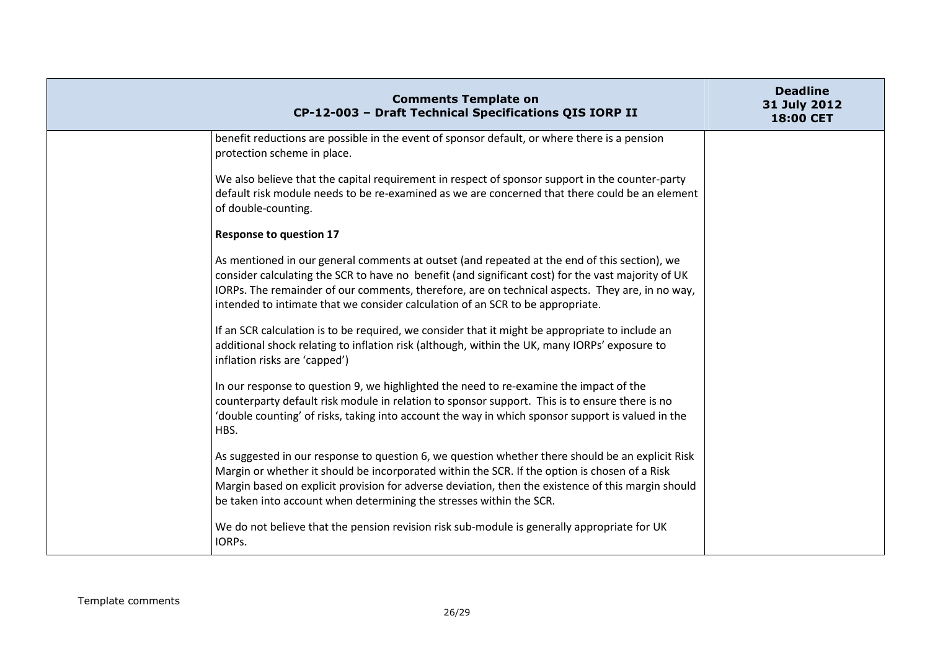| <b>Comments Template on</b><br>CP-12-003 - Draft Technical Specifications QIS IORP II                                                                                                                                                                                                                                                                                                   | <b>Deadline</b><br>31 July 2012<br>18:00 CET |
|-----------------------------------------------------------------------------------------------------------------------------------------------------------------------------------------------------------------------------------------------------------------------------------------------------------------------------------------------------------------------------------------|----------------------------------------------|
| benefit reductions are possible in the event of sponsor default, or where there is a pension<br>protection scheme in place.                                                                                                                                                                                                                                                             |                                              |
| We also believe that the capital requirement in respect of sponsor support in the counter-party<br>default risk module needs to be re-examined as we are concerned that there could be an element<br>of double-counting.                                                                                                                                                                |                                              |
| <b>Response to question 17</b>                                                                                                                                                                                                                                                                                                                                                          |                                              |
| As mentioned in our general comments at outset (and repeated at the end of this section), we<br>consider calculating the SCR to have no benefit (and significant cost) for the vast majority of UK<br>IORPs. The remainder of our comments, therefore, are on technical aspects. They are, in no way,<br>intended to intimate that we consider calculation of an SCR to be appropriate. |                                              |
| If an SCR calculation is to be required, we consider that it might be appropriate to include an<br>additional shock relating to inflation risk (although, within the UK, many IORPs' exposure to<br>inflation risks are 'capped')                                                                                                                                                       |                                              |
| In our response to question 9, we highlighted the need to re-examine the impact of the<br>counterparty default risk module in relation to sponsor support. This is to ensure there is no<br>'double counting' of risks, taking into account the way in which sponsor support is valued in the<br>HBS.                                                                                   |                                              |
| As suggested in our response to question 6, we question whether there should be an explicit Risk<br>Margin or whether it should be incorporated within the SCR. If the option is chosen of a Risk<br>Margin based on explicit provision for adverse deviation, then the existence of this margin should<br>be taken into account when determining the stresses within the SCR.          |                                              |
| We do not believe that the pension revision risk sub-module is generally appropriate for UK<br>IORPs.                                                                                                                                                                                                                                                                                   |                                              |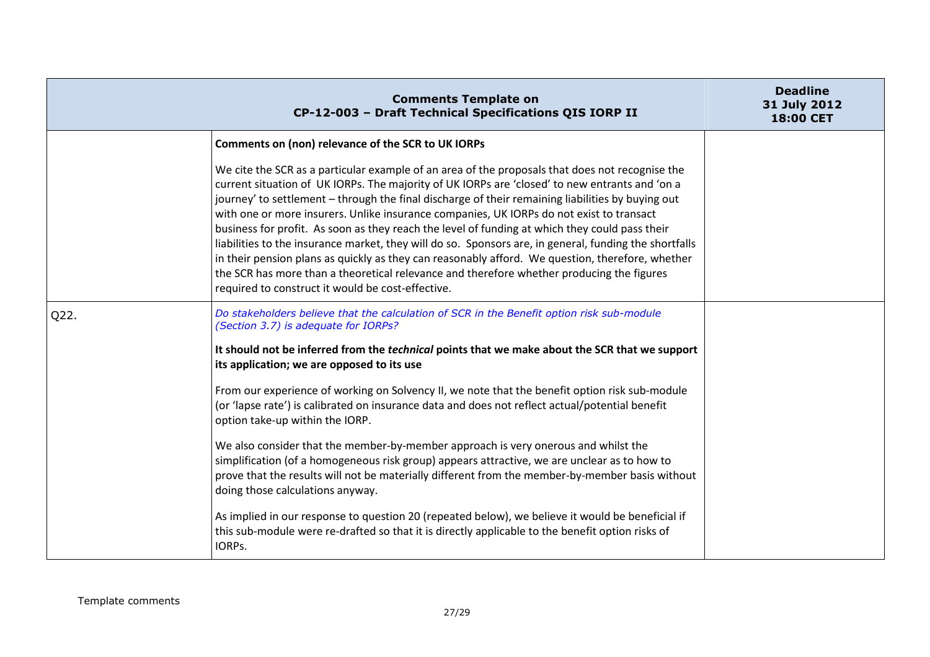|      | <b>Comments Template on</b><br>CP-12-003 - Draft Technical Specifications QIS IORP II                                                                                                                                                                                                                                                                                                                                                                                                                                                                                                                                                                                                                                                                                                                                                                                | <b>Deadline</b><br>31 July 2012<br>18:00 CET |
|------|----------------------------------------------------------------------------------------------------------------------------------------------------------------------------------------------------------------------------------------------------------------------------------------------------------------------------------------------------------------------------------------------------------------------------------------------------------------------------------------------------------------------------------------------------------------------------------------------------------------------------------------------------------------------------------------------------------------------------------------------------------------------------------------------------------------------------------------------------------------------|----------------------------------------------|
|      | Comments on (non) relevance of the SCR to UK IORPs                                                                                                                                                                                                                                                                                                                                                                                                                                                                                                                                                                                                                                                                                                                                                                                                                   |                                              |
|      | We cite the SCR as a particular example of an area of the proposals that does not recognise the<br>current situation of UK IORPs. The majority of UK IORPs are 'closed' to new entrants and 'on a<br>journey' to settlement - through the final discharge of their remaining liabilities by buying out<br>with one or more insurers. Unlike insurance companies, UK IORPs do not exist to transact<br>business for profit. As soon as they reach the level of funding at which they could pass their<br>liabilities to the insurance market, they will do so. Sponsors are, in general, funding the shortfalls<br>in their pension plans as quickly as they can reasonably afford. We question, therefore, whether<br>the SCR has more than a theoretical relevance and therefore whether producing the figures<br>required to construct it would be cost-effective. |                                              |
| Q22. | Do stakeholders believe that the calculation of SCR in the Benefit option risk sub-module<br>(Section 3.7) is adequate for IORPs?                                                                                                                                                                                                                                                                                                                                                                                                                                                                                                                                                                                                                                                                                                                                    |                                              |
|      | It should not be inferred from the <i>technical</i> points that we make about the SCR that we support<br>its application; we are opposed to its use                                                                                                                                                                                                                                                                                                                                                                                                                                                                                                                                                                                                                                                                                                                  |                                              |
|      | From our experience of working on Solvency II, we note that the benefit option risk sub-module<br>(or 'lapse rate') is calibrated on insurance data and does not reflect actual/potential benefit<br>option take-up within the IORP.                                                                                                                                                                                                                                                                                                                                                                                                                                                                                                                                                                                                                                 |                                              |
|      | We also consider that the member-by-member approach is very onerous and whilst the<br>simplification (of a homogeneous risk group) appears attractive, we are unclear as to how to<br>prove that the results will not be materially different from the member-by-member basis without<br>doing those calculations anyway.                                                                                                                                                                                                                                                                                                                                                                                                                                                                                                                                            |                                              |
|      | As implied in our response to question 20 (repeated below), we believe it would be beneficial if<br>this sub-module were re-drafted so that it is directly applicable to the benefit option risks of<br>IORPs.                                                                                                                                                                                                                                                                                                                                                                                                                                                                                                                                                                                                                                                       |                                              |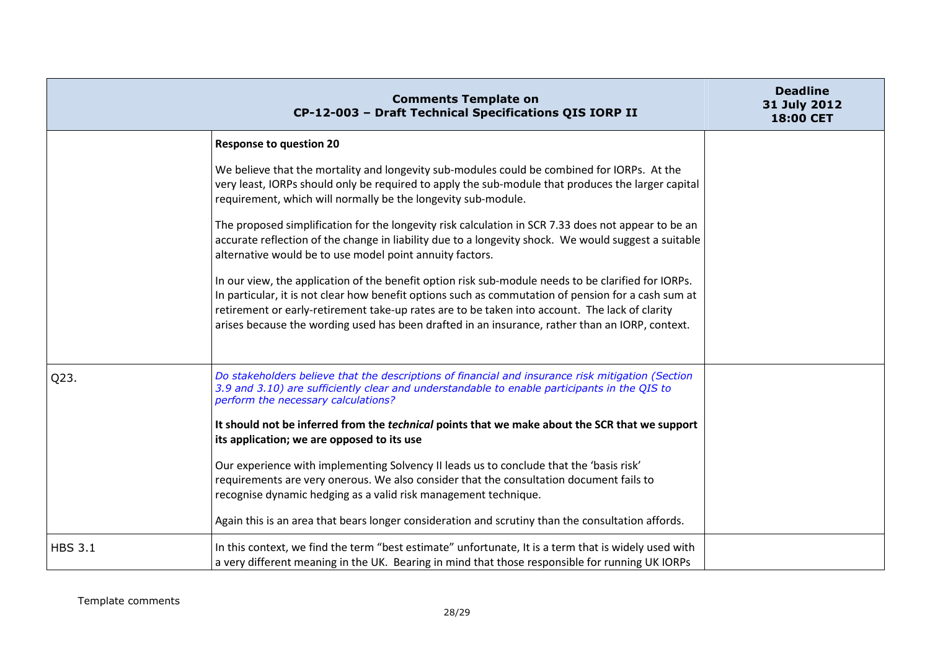|                | <b>Comments Template on</b><br>CP-12-003 - Draft Technical Specifications QIS IORP II                                                                                                                                                                                                                                                                                                                           | <b>Deadline</b><br>31 July 2012<br>18:00 CET |
|----------------|-----------------------------------------------------------------------------------------------------------------------------------------------------------------------------------------------------------------------------------------------------------------------------------------------------------------------------------------------------------------------------------------------------------------|----------------------------------------------|
|                | <b>Response to question 20</b>                                                                                                                                                                                                                                                                                                                                                                                  |                                              |
|                | We believe that the mortality and longevity sub-modules could be combined for IORPs. At the<br>very least, IORPs should only be required to apply the sub-module that produces the larger capital<br>requirement, which will normally be the longevity sub-module.                                                                                                                                              |                                              |
|                | The proposed simplification for the longevity risk calculation in SCR 7.33 does not appear to be an<br>accurate reflection of the change in liability due to a longevity shock. We would suggest a suitable<br>alternative would be to use model point annuity factors.                                                                                                                                         |                                              |
|                | In our view, the application of the benefit option risk sub-module needs to be clarified for IORPs.<br>In particular, it is not clear how benefit options such as commutation of pension for a cash sum at<br>retirement or early-retirement take-up rates are to be taken into account. The lack of clarity<br>arises because the wording used has been drafted in an insurance, rather than an IORP, context. |                                              |
| Q23.           | Do stakeholders believe that the descriptions of financial and insurance risk mitigation (Section<br>3.9 and 3.10) are sufficiently clear and understandable to enable participants in the QIS to<br>perform the necessary calculations?                                                                                                                                                                        |                                              |
|                | It should not be inferred from the <i>technical</i> points that we make about the SCR that we support<br>its application; we are opposed to its use                                                                                                                                                                                                                                                             |                                              |
|                | Our experience with implementing Solvency II leads us to conclude that the 'basis risk'<br>requirements are very onerous. We also consider that the consultation document fails to<br>recognise dynamic hedging as a valid risk management technique.                                                                                                                                                           |                                              |
|                | Again this is an area that bears longer consideration and scrutiny than the consultation affords.                                                                                                                                                                                                                                                                                                               |                                              |
| <b>HBS 3.1</b> | In this context, we find the term "best estimate" unfortunate, It is a term that is widely used with<br>a very different meaning in the UK. Bearing in mind that those responsible for running UK IORPs                                                                                                                                                                                                         |                                              |